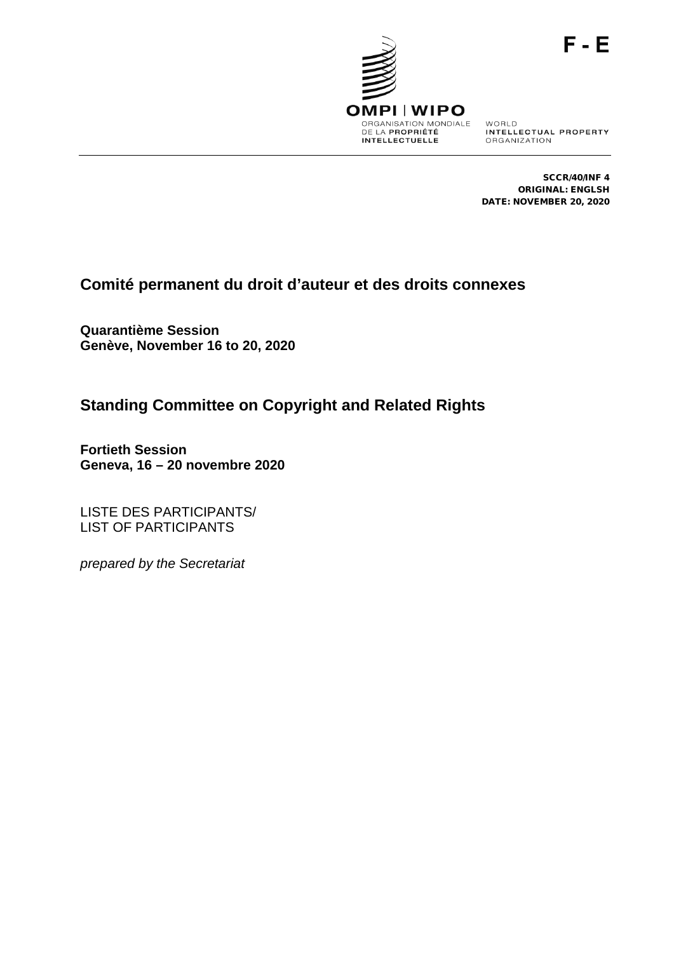

WORLD<br>INTELLECTUAL PROPERTY ORGANIZATION

SCCR/40/INF 4 ORIGINAL: ENGLSH DATE: NOVEMBER 20, 2020

# **Comité permanent du droit d'auteur et des droits connexes**

**Quarantième Session Genève, November 16 to 20, 2020**

# **Standing Committee on Copyright and Related Rights**

**Fortieth Session Geneva, 16 – 20 novembre 2020**

LISTE DES PARTICIPANTS/ LIST OF PARTICIPANTS

*prepared by the Secretariat*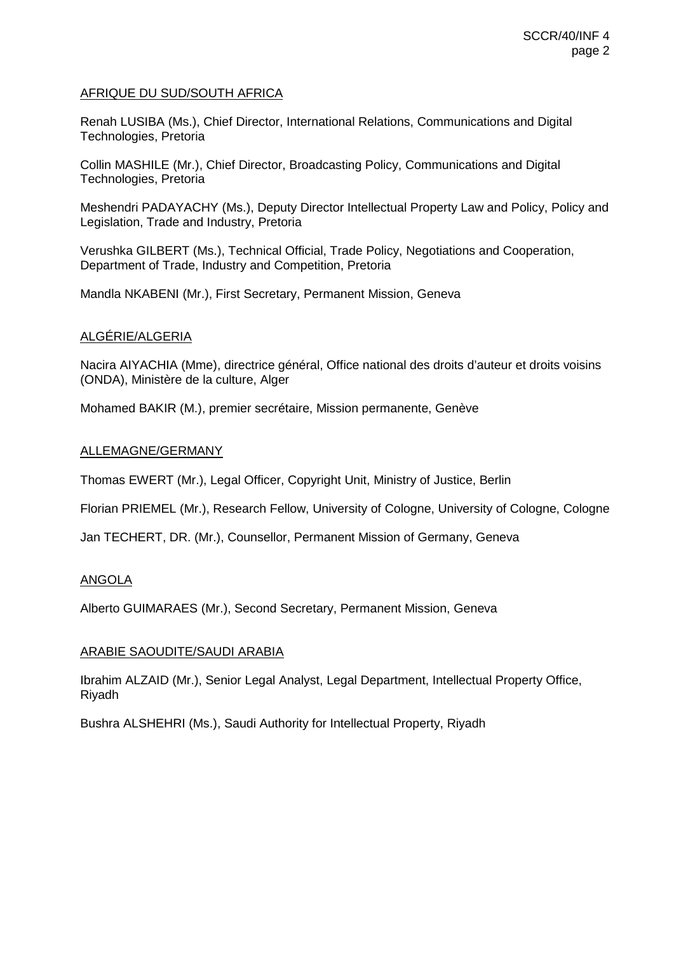# AFRIQUE DU SUD/SOUTH AFRICA

Renah LUSIBA (Ms.), Chief Director, International Relations, Communications and Digital Technologies, Pretoria

Collin MASHILE (Mr.), Chief Director, Broadcasting Policy, Communications and Digital Technologies, Pretoria

Meshendri PADAYACHY (Ms.), Deputy Director Intellectual Property Law and Policy, Policy and Legislation, Trade and Industry, Pretoria

Verushka GILBERT (Ms.), Technical Official, Trade Policy, Negotiations and Cooperation, Department of Trade, Industry and Competition, Pretoria

Mandla NKABENI (Mr.), First Secretary, Permanent Mission, Geneva

# ALGÉRIE/ALGERIA

Nacira AIYACHIA (Mme), directrice général, Office national des droits d'auteur et droits voisins (ONDA), Ministère de la culture, Alger

Mohamed BAKIR (M.), premier secrétaire, Mission permanente, Genève

## ALLEMAGNE/GERMANY

Thomas EWERT (Mr.), Legal Officer, Copyright Unit, Ministry of Justice, Berlin

Florian PRIEMEL (Mr.), Research Fellow, University of Cologne, University of Cologne, Cologne

Jan TECHERT, DR. (Mr.), Counsellor, Permanent Mission of Germany, Geneva

# ANGOLA

Alberto GUIMARAES (Mr.), Second Secretary, Permanent Mission, Geneva

# ARABIE SAOUDITE/SAUDI ARABIA

Ibrahim ALZAID (Mr.), Senior Legal Analyst, Legal Department, Intellectual Property Office, Riyadh

Bushra ALSHEHRI (Ms.), Saudi Authority for Intellectual Property, Riyadh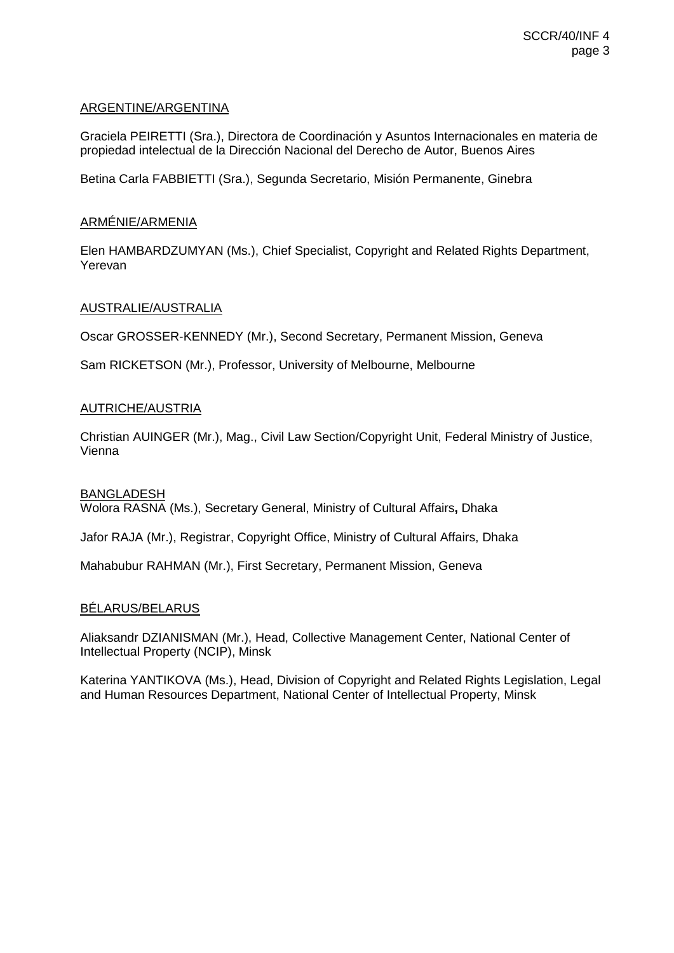# ARGENTINE/ARGENTINA

Graciela PEIRETTI (Sra.), Directora de Coordinación y Asuntos Internacionales en materia de propiedad intelectual de la Dirección Nacional del Derecho de Autor, Buenos Aires

Betina Carla FABBIETTI (Sra.), Segunda Secretario, Misión Permanente, Ginebra

# ARMÉNIE/ARMENIA

Elen HAMBARDZUMYAN (Ms.), Chief Specialist, Copyright and Related Rights Department, Yerevan

# AUSTRALIE/AUSTRALIA

Oscar GROSSER-KENNEDY (Mr.), Second Secretary, Permanent Mission, Geneva

Sam RICKETSON (Mr.), Professor, University of Melbourne, Melbourne

## AUTRICHE/AUSTRIA

Christian AUINGER (Mr.), Mag., Civil Law Section/Copyright Unit, Federal Ministry of Justice, Vienna

### **BANGLADESH**

Wolora RASNA (Ms.), Secretary General, Ministry of Cultural Affairs**,** Dhaka

Jafor RAJA (Mr.), Registrar, Copyright Office, Ministry of Cultural Affairs, Dhaka

Mahabubur RAHMAN (Mr.), First Secretary, Permanent Mission, Geneva

#### BÉLARUS/BELARUS

Aliaksandr DZIANISMAN (Mr.), Head, Collective Management Center, National Center of Intellectual Property (NCIP), Minsk

Katerina YANTIKOVA (Ms.), Head, Division of Copyright and Related Rights Legislation, Legal and Human Resources Department, National Center of Intellectual Property, Minsk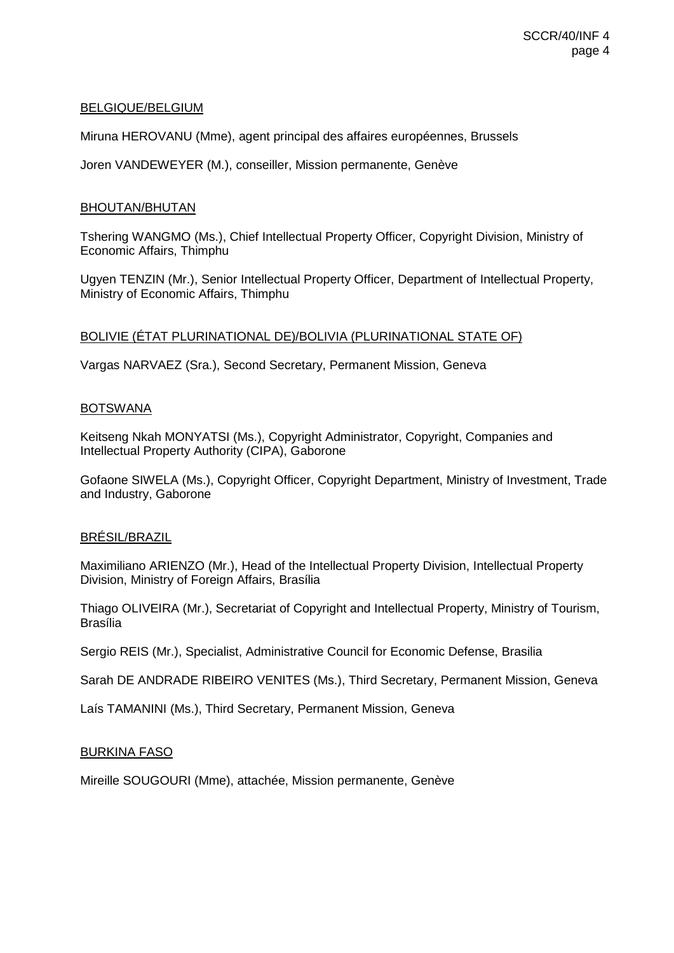# BELGIQUE/BELGIUM

Miruna HEROVANU (Mme), agent principal des affaires européennes, Brussels

Joren VANDEWEYER (M.), conseiller, Mission permanente, Genève

# BHOUTAN/BHUTAN

Tshering WANGMO (Ms.), Chief Intellectual Property Officer, Copyright Division, Ministry of Economic Affairs, Thimphu

Ugyen TENZIN (Mr.), Senior Intellectual Property Officer, Department of Intellectual Property, Ministry of Economic Affairs, Thimphu

# BOLIVIE (ÉTAT PLURINATIONAL DE)/BOLIVIA (PLURINATIONAL STATE OF)

Vargas NARVAEZ (Sra.), Second Secretary, Permanent Mission, Geneva

## BOTSWANA

Keitseng Nkah MONYATSI (Ms.), Copyright Administrator, Copyright, Companies and Intellectual Property Authority (CIPA), Gaborone

Gofaone SIWELA (Ms.), Copyright Officer, Copyright Department, Ministry of Investment, Trade and Industry, Gaborone

#### BRÉSIL/BRAZIL

Maximiliano ARIENZO (Mr.), Head of the Intellectual Property Division, Intellectual Property Division, Ministry of Foreign Affairs, Brasília

Thiago OLIVEIRA (Mr.), Secretariat of Copyright and Intellectual Property, Ministry of Tourism, Brasília

Sergio REIS (Mr.), Specialist, Administrative Council for Economic Defense, Brasilia

Sarah DE ANDRADE RIBEIRO VENITES (Ms.), Third Secretary, Permanent Mission, Geneva

Laís TAMANINI (Ms.), Third Secretary, Permanent Mission, Geneva

#### BURKINA FASO

Mireille SOUGOURI (Mme), attachée, Mission permanente, Genève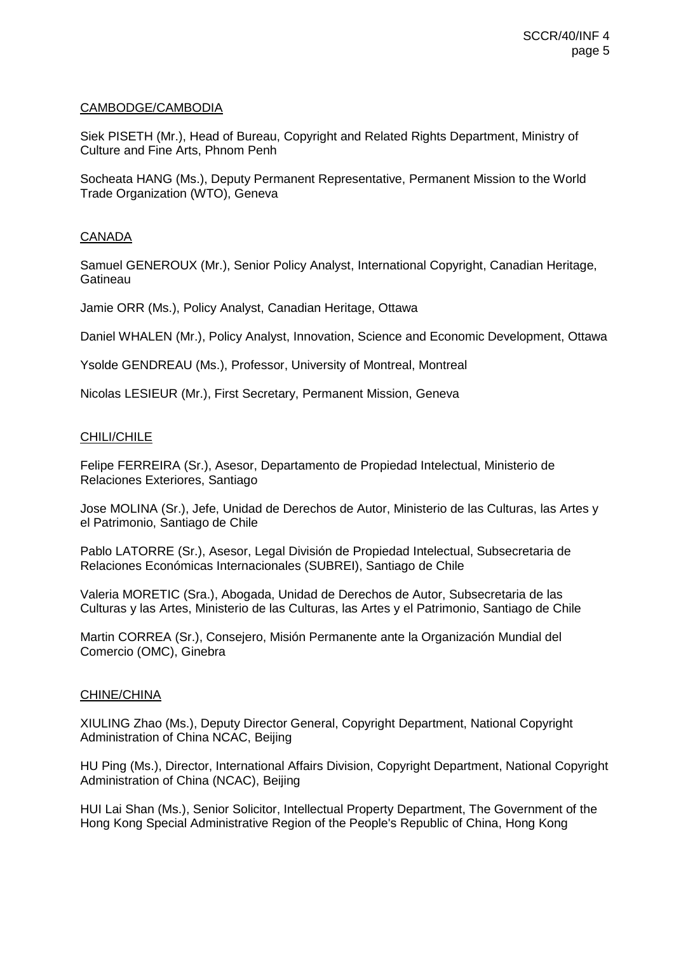### CAMBODGE/CAMBODIA

Siek PISETH (Mr.), Head of Bureau, Copyright and Related Rights Department, Ministry of Culture and Fine Arts, Phnom Penh

Socheata HANG (Ms.), Deputy Permanent Representative, Permanent Mission to the World Trade Organization (WTO), Geneva

### **CANADA**

Samuel GENEROUX (Mr.), Senior Policy Analyst, International Copyright, Canadian Heritage, **Gatineau** 

Jamie ORR (Ms.), Policy Analyst, Canadian Heritage, Ottawa

Daniel WHALEN (Mr.), Policy Analyst, Innovation, Science and Economic Development, Ottawa

Ysolde GENDREAU (Ms.), Professor, University of Montreal, Montreal

Nicolas LESIEUR (Mr.), First Secretary, Permanent Mission, Geneva

# CHILI/CHILE

Felipe FERREIRA (Sr.), Asesor, Departamento de Propiedad Intelectual, Ministerio de Relaciones Exteriores, Santiago

Jose MOLINA (Sr.), Jefe, Unidad de Derechos de Autor, Ministerio de las Culturas, las Artes y el Patrimonio, Santiago de Chile

Pablo LATORRE (Sr.), Asesor, Legal División de Propiedad Intelectual, Subsecretaria de Relaciones Económicas Internacionales (SUBREI), Santiago de Chile

Valeria MORETIC (Sra.), Abogada, Unidad de Derechos de Autor, Subsecretaria de las Culturas y las Artes, Ministerio de las Culturas, las Artes y el Patrimonio, Santiago de Chile

Martin CORREA (Sr.), Consejero, Misión Permanente ante la Organización Mundial del Comercio (OMC), Ginebra

#### CHINE/CHINA

XIULING Zhao (Ms.), Deputy Director General, Copyright Department, National Copyright Administration of China NCAC, Beijing

HU Ping (Ms.), Director, International Affairs Division, Copyright Department, National Copyright Administration of China (NCAC), Beijing

HUI Lai Shan (Ms.), Senior Solicitor, Intellectual Property Department, The Government of the Hong Kong Special Administrative Region of the People's Republic of China, Hong Kong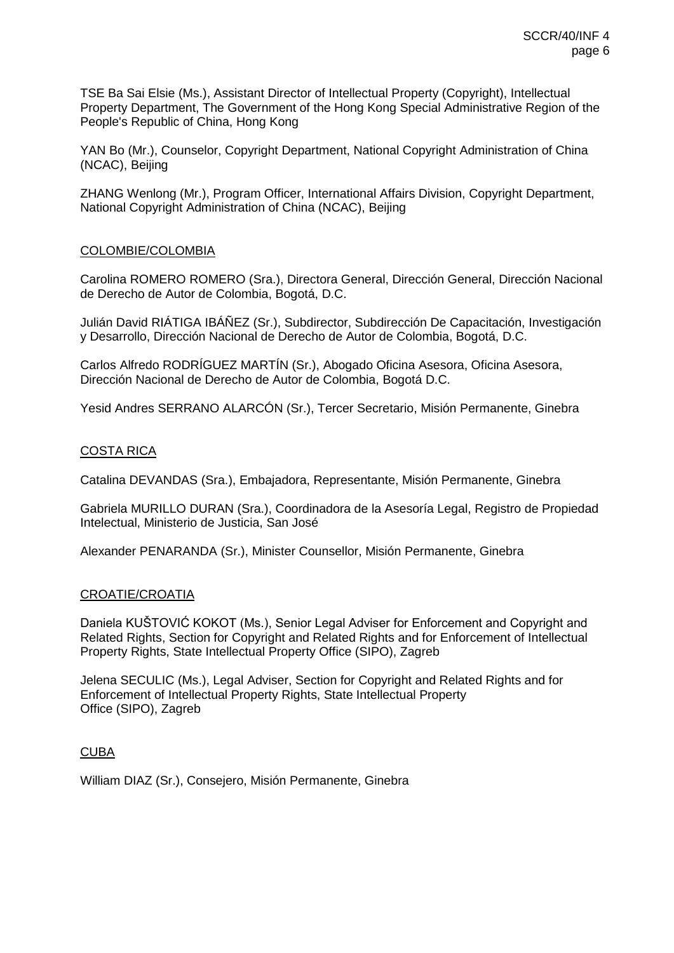TSE Ba Sai Elsie (Ms.), Assistant Director of Intellectual Property (Copyright), Intellectual Property Department, The Government of the Hong Kong Special Administrative Region of the People's Republic of China, Hong Kong

YAN Bo (Mr.), Counselor, Copyright Department, National Copyright Administration of China (NCAC), Beijing

ZHANG Wenlong (Mr.), Program Officer, International Affairs Division, Copyright Department, National Copyright Administration of China (NCAC), Beijing

## COLOMBIE/COLOMBIA

Carolina ROMERO ROMERO (Sra.), Directora General, Dirección General, Dirección Nacional de Derecho de Autor de Colombia, Bogotá, D.C.

Julián David RIÁTIGA IBÁÑEZ (Sr.), Subdirector, Subdirección De Capacitación, Investigación y Desarrollo, Dirección Nacional de Derecho de Autor de Colombia, Bogotá, D.C.

Carlos Alfredo RODRÍGUEZ MARTÍN (Sr.), Abogado Oficina Asesora, Oficina Asesora, Dirección Nacional de Derecho de Autor de Colombia, Bogotá D.C.

Yesid Andres SERRANO ALARCÓN (Sr.), Tercer Secretario, Misión Permanente, Ginebra

## COSTA RICA

Catalina DEVANDAS (Sra.), Embajadora, Representante, Misión Permanente, Ginebra

Gabriela MURILLO DURAN (Sra.), Coordinadora de la Asesoría Legal, Registro de Propiedad Intelectual, Ministerio de Justicia, San José

Alexander PENARANDA (Sr.), Minister Counsellor, Misión Permanente, Ginebra

#### CROATIE/CROATIA

Daniela KUŠTOVIĆ KOKOT (Ms.), Senior Legal Adviser for Enforcement and Copyright and Related Rights, Section for Copyright and Related Rights and for Enforcement of Intellectual Property Rights, State Intellectual Property Office (SIPO), Zagreb

Jelena SECULIC (Ms.), Legal Adviser, Section for Copyright and Related Rights and for Enforcement of Intellectual Property Rights, State Intellectual Property Office (SIPO), Zagreb

#### CUBA

William DIAZ (Sr.), Consejero, Misión Permanente, Ginebra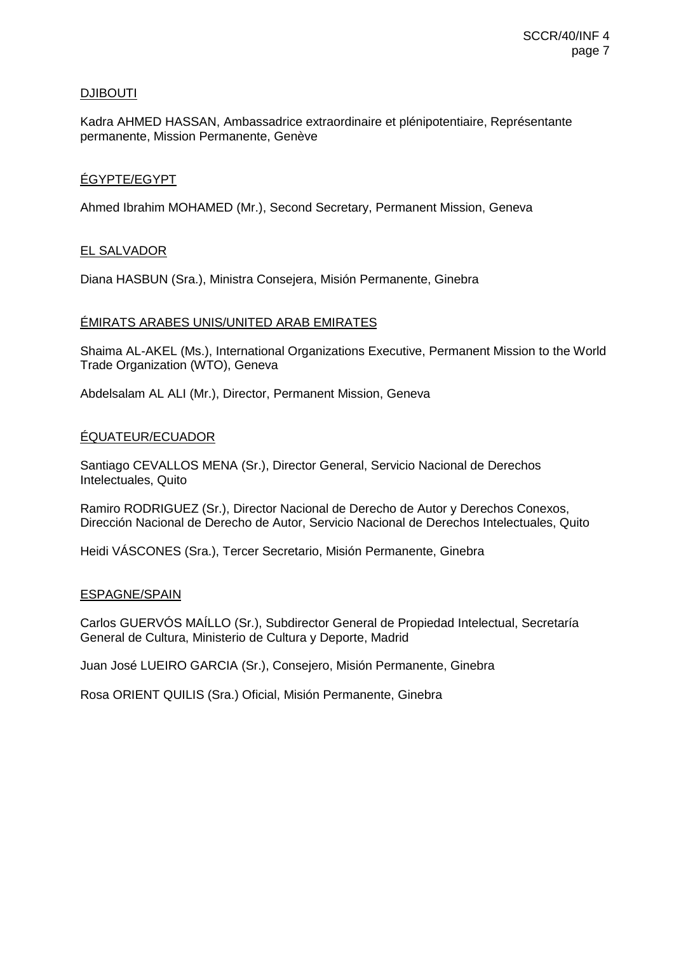# **DJIBOUTI**

Kadra AHMED HASSAN, Ambassadrice extraordinaire et plénipotentiaire, Représentante permanente, Mission Permanente, Genève

# ÉGYPTE/EGYPT

Ahmed Ibrahim MOHAMED (Mr.), Second Secretary, Permanent Mission, Geneva

# EL SALVADOR

Diana HASBUN (Sra.), Ministra Consejera, Misión Permanente, Ginebra

## ÉMIRATS ARABES UNIS/UNITED ARAB EMIRATES

Shaima AL-AKEL (Ms.), International Organizations Executive, Permanent Mission to the World Trade Organization (WTO), Geneva

Abdelsalam AL ALI (Mr.), Director, Permanent Mission, Geneva

## ÉQUATEUR/ECUADOR

Santiago CEVALLOS MENA (Sr.), Director General, Servicio Nacional de Derechos Intelectuales, Quito

Ramiro RODRIGUEZ (Sr.), Director Nacional de Derecho de Autor y Derechos Conexos, Dirección Nacional de Derecho de Autor, Servicio Nacional de Derechos Intelectuales, Quito

Heidi VÁSCONES (Sra.), Tercer Secretario, Misión Permanente, Ginebra

#### ESPAGNE/SPAIN

Carlos GUERVÓS MAÍLLO (Sr.), Subdirector General de Propiedad Intelectual, Secretaría General de Cultura, Ministerio de Cultura y Deporte, Madrid

Juan José LUEIRO GARCIA (Sr.), Consejero, Misión Permanente, Ginebra

Rosa ORIENT QUILIS (Sra.) Oficial, Misión Permanente, Ginebra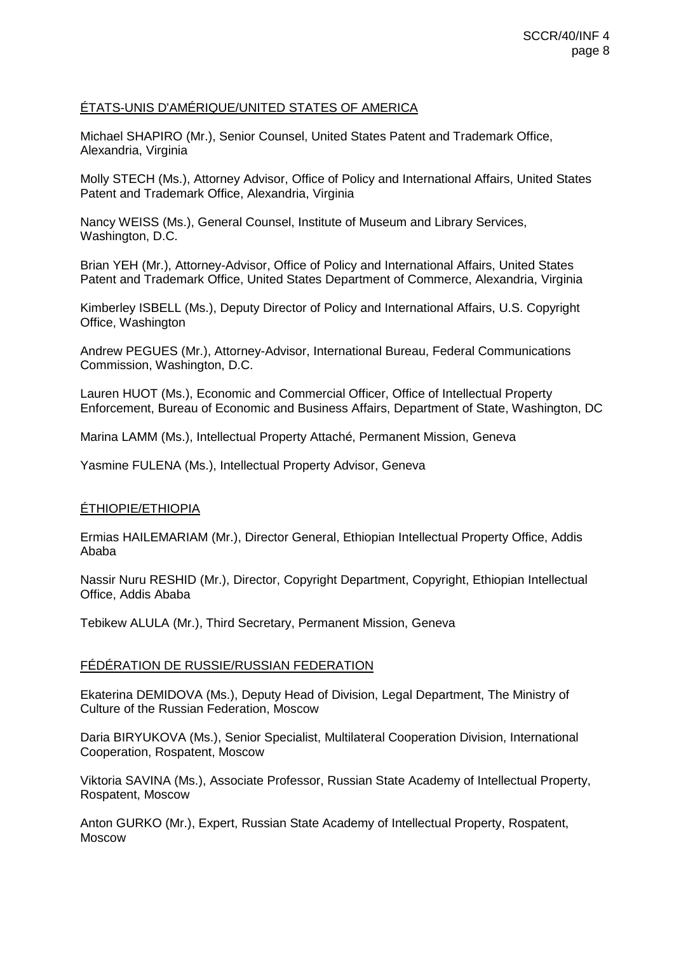# ÉTATS-UNIS D'AMÉRIQUE/UNITED STATES OF AMERICA

Michael SHAPIRO (Mr.), Senior Counsel, United States Patent and Trademark Office, Alexandria, Virginia

Molly STECH (Ms.), Attorney Advisor, Office of Policy and International Affairs, United States Patent and Trademark Office, Alexandria, Virginia

Nancy WEISS (Ms.), General Counsel, Institute of Museum and Library Services, Washington, D.C.

Brian YEH (Mr.), Attorney-Advisor, Office of Policy and International Affairs, United States Patent and Trademark Office, United States Department of Commerce, Alexandria, Virginia

Kimberley ISBELL (Ms.), Deputy Director of Policy and International Affairs, U.S. Copyright Office, Washington

Andrew PEGUES (Mr.), Attorney-Advisor, International Bureau, Federal Communications Commission, Washington, D.C.

Lauren HUOT (Ms.), Economic and Commercial Officer, Office of Intellectual Property Enforcement, Bureau of Economic and Business Affairs, Department of State, Washington, DC

Marina LAMM (Ms.), Intellectual Property Attaché, Permanent Mission, Geneva

Yasmine FULENA (Ms.), Intellectual Property Advisor, Geneva

#### ÉTHIOPIE/ETHIOPIA

Ermias HAILEMARIAM (Mr.), Director General, Ethiopian Intellectual Property Office, Addis Ababa

Nassir Nuru RESHID (Mr.), Director, Copyright Department, Copyright, Ethiopian Intellectual Office, Addis Ababa

Tebikew ALULA (Mr.), Third Secretary, Permanent Mission, Geneva

#### FÉDÉRATION DE RUSSIE/RUSSIAN FEDERATION

Ekaterina DEMIDOVA (Ms.), Deputy Head of Division, Legal Department, The Ministry of Culture of the Russian Federation, Moscow

Daria BIRYUKOVA (Ms.), Senior Specialist, Multilateral Cooperation Division, International Cooperation, Rospatent, Moscow

Viktoria SAVINA (Ms.), Associate Professor, Russian State Academy of Intellectual Property, Rospatent, Moscow

Anton GURKO (Mr.), Expert, Russian State Academy of Intellectual Property, Rospatent, Moscow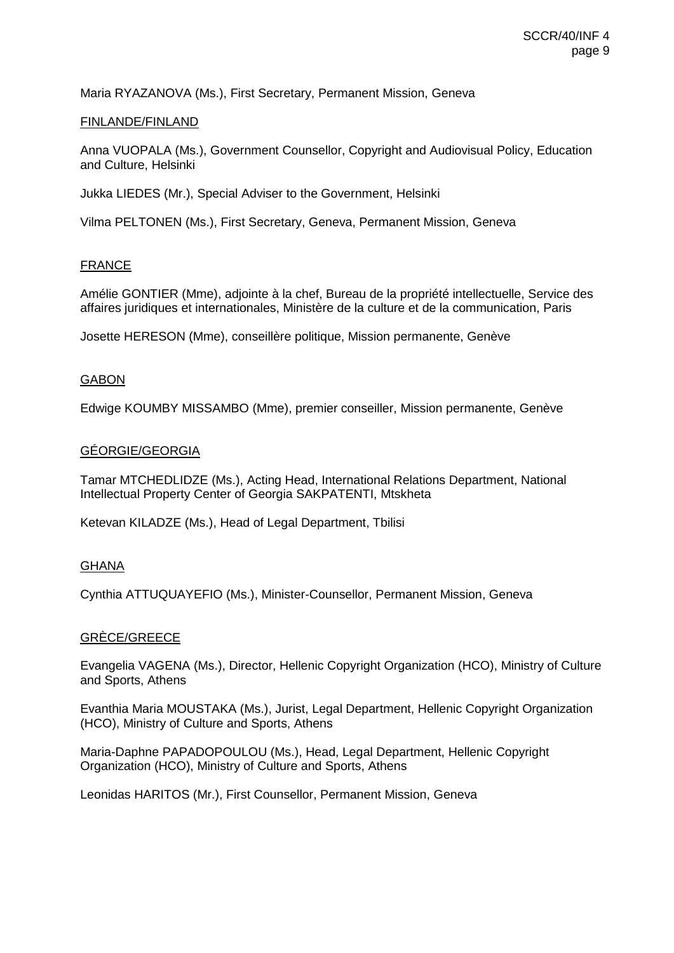Maria RYAZANOVA (Ms.), First Secretary, Permanent Mission, Geneva

### FINLANDE/FINLAND

Anna VUOPALA (Ms.), Government Counsellor, Copyright and Audiovisual Policy, Education and Culture, Helsinki

Jukka LIEDES (Mr.), Special Adviser to the Government, Helsinki

Vilma PELTONEN (Ms.), First Secretary, Geneva, Permanent Mission, Geneva

## FRANCE

Amélie GONTIER (Mme), adjointe à la chef, Bureau de la propriété intellectuelle, Service des affaires juridiques et internationales, Ministère de la culture et de la communication, Paris

Josette HERESON (Mme), conseillère politique, Mission permanente, Genève

## GABON

Edwige KOUMBY MISSAMBO (Mme), premier conseiller, Mission permanente, Genève

## GÉORGIE/GEORGIA

Tamar MTCHEDLIDZE (Ms.), Acting Head, International Relations Department, National Intellectual Property Center of Georgia SAKPATENTI, Mtskheta

Ketevan KILADZE (Ms.), Head of Legal Department, Tbilisi

#### GHANA

Cynthia ATTUQUAYEFIO (Ms.), Minister-Counsellor, Permanent Mission, Geneva

# GRÈCE/GREECE

Evangelia VAGENA (Ms.), Director, Hellenic Copyright Organization (HCO), Ministry of Culture and Sports, Athens

Evanthia Maria MOUSTAKA (Ms.), Jurist, Legal Department, Hellenic Copyright Organization (HCO), Ministry of Culture and Sports, Athens

Maria-Daphne PAPADOPOULOU (Ms.), Head, Legal Department, Hellenic Copyright Organization (HCO), Ministry of Culture and Sports, Athens

Leonidas HARITOS (Mr.), First Counsellor, Permanent Mission, Geneva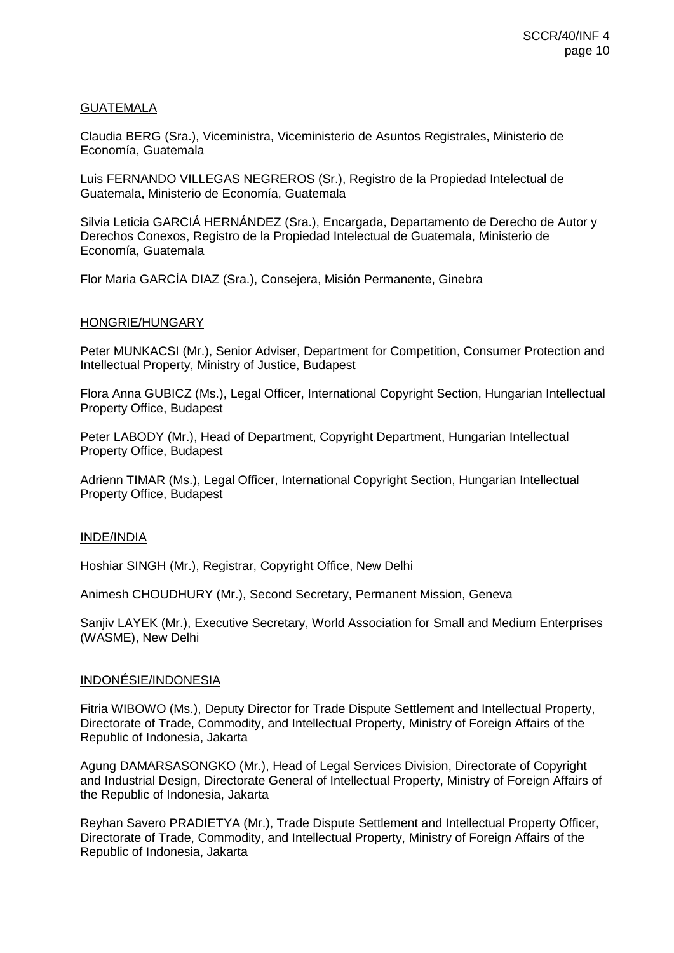# GUATEMALA

Claudia BERG (Sra.), Viceministra, Viceministerio de Asuntos Registrales, Ministerio de Economía, Guatemala

Luis FERNANDO VILLEGAS NEGREROS (Sr.), Registro de la Propiedad Intelectual de Guatemala, Ministerio de Economía, Guatemala

Silvia Leticia GARCIÁ HERNÁNDEZ (Sra.), Encargada, Departamento de Derecho de Autor y Derechos Conexos, Registro de la Propiedad Intelectual de Guatemala, Ministerio de Economía, Guatemala

Flor Maria GARCÍA DIAZ (Sra.), Consejera, Misión Permanente, Ginebra

## HONGRIE/HUNGARY

Peter MUNKACSI (Mr.), Senior Adviser, Department for Competition, Consumer Protection and Intellectual Property, Ministry of Justice, Budapest

Flora Anna GUBICZ (Ms.), Legal Officer, International Copyright Section, Hungarian Intellectual Property Office, Budapest

Peter LABODY (Mr.), Head of Department, Copyright Department, Hungarian Intellectual Property Office, Budapest

Adrienn TIMAR (Ms.), Legal Officer, International Copyright Section, Hungarian Intellectual Property Office, Budapest

#### INDE/INDIA

Hoshiar SINGH (Mr.), Registrar, Copyright Office, New Delhi

Animesh CHOUDHURY (Mr.), Second Secretary, Permanent Mission, Geneva

Sanjiv LAYEK (Mr.), Executive Secretary, World Association for Small and Medium Enterprises (WASME), New Delhi

#### INDONÉSIE/INDONESIA

Fitria WIBOWO (Ms.), Deputy Director for Trade Dispute Settlement and Intellectual Property, Directorate of Trade, Commodity, and Intellectual Property, Ministry of Foreign Affairs of the Republic of Indonesia, Jakarta

Agung DAMARSASONGKO (Mr.), Head of Legal Services Division, Directorate of Copyright and Industrial Design, Directorate General of Intellectual Property, Ministry of Foreign Affairs of the Republic of Indonesia, Jakarta

Reyhan Savero PRADIETYA (Mr.), Trade Dispute Settlement and Intellectual Property Officer, Directorate of Trade, Commodity, and Intellectual Property, Ministry of Foreign Affairs of the Republic of Indonesia, Jakarta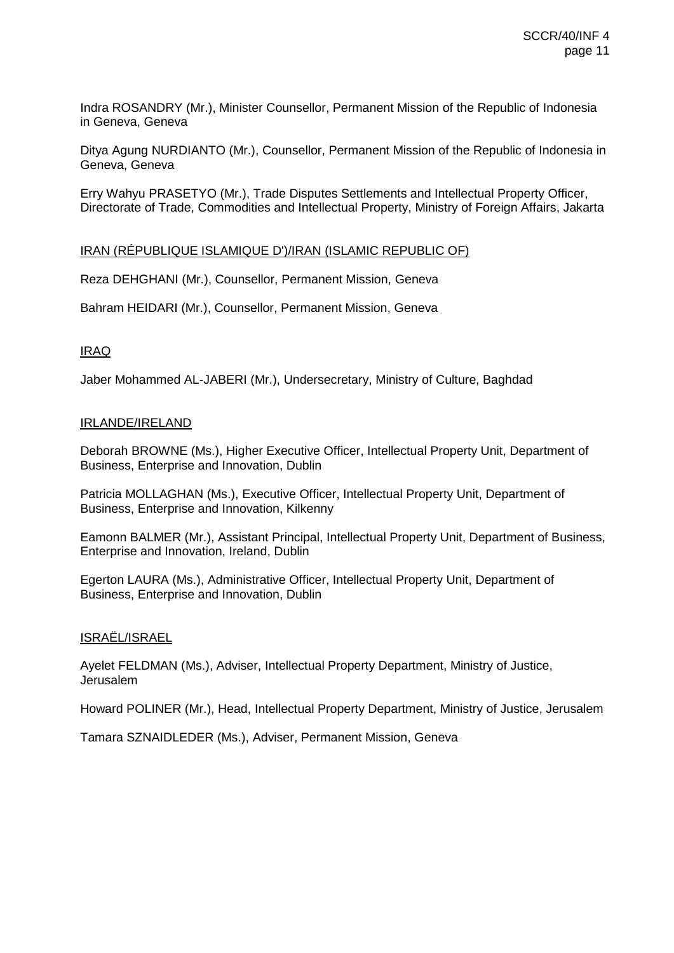Indra ROSANDRY (Mr.), Minister Counsellor, Permanent Mission of the Republic of Indonesia in Geneva, Geneva

Ditya Agung NURDIANTO (Mr.), Counsellor, Permanent Mission of the Republic of Indonesia in Geneva, Geneva

Erry Wahyu PRASETYO (Mr.), Trade Disputes Settlements and Intellectual Property Officer, Directorate of Trade, Commodities and Intellectual Property, Ministry of Foreign Affairs, Jakarta

## IRAN (RÉPUBLIQUE ISLAMIQUE D')/IRAN (ISLAMIC REPUBLIC OF)

Reza DEHGHANI (Mr.), Counsellor, Permanent Mission, Geneva

Bahram HEIDARI (Mr.), Counsellor, Permanent Mission, Geneva

# IRAQ

Jaber Mohammed AL-JABERI (Mr.), Undersecretary, Ministry of Culture, Baghdad

## IRLANDE/IRELAND

Deborah BROWNE (Ms.), Higher Executive Officer, Intellectual Property Unit, Department of Business, Enterprise and Innovation, Dublin

Patricia MOLLAGHAN (Ms.), Executive Officer, Intellectual Property Unit, Department of Business, Enterprise and Innovation, Kilkenny

Eamonn BALMER (Mr.), Assistant Principal, Intellectual Property Unit, Department of Business, Enterprise and Innovation, Ireland, Dublin

Egerton LAURA (Ms.), Administrative Officer, Intellectual Property Unit, Department of Business, Enterprise and Innovation, Dublin

#### ISRAËL/ISRAEL

Ayelet FELDMAN (Ms.), Adviser, Intellectual Property Department, Ministry of Justice, Jerusalem

Howard POLINER (Mr.), Head, Intellectual Property Department, Ministry of Justice, Jerusalem

Tamara SZNAIDLEDER (Ms.), Adviser, Permanent Mission, Geneva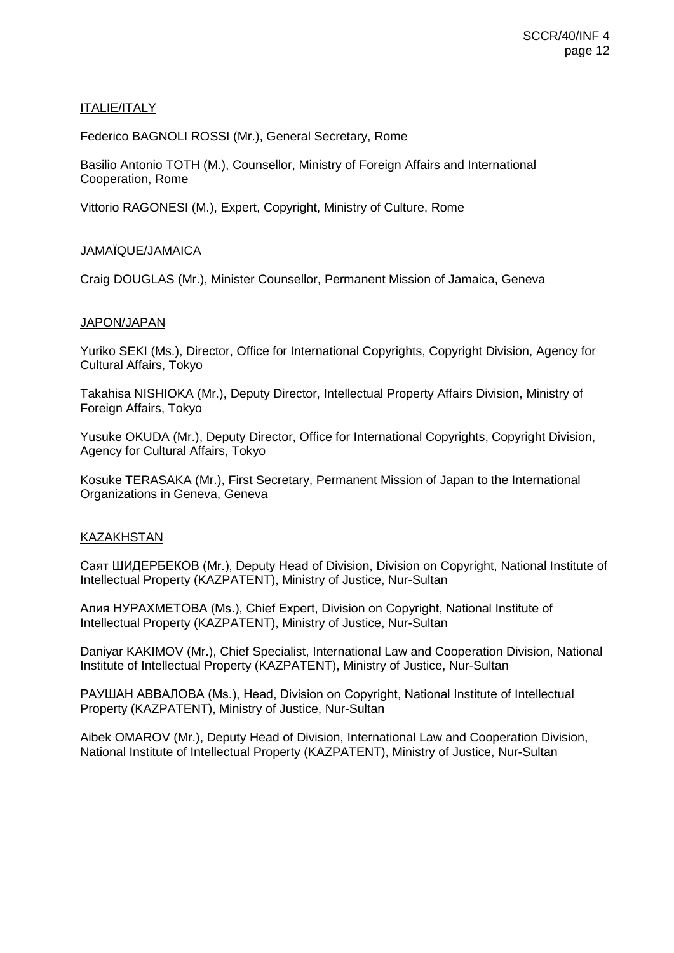# ITALIE/ITALY

Federico BAGNOLI ROSSI (Mr.), General Secretary, Rome

Basilio Antonio TOTH (M.), Counsellor, Ministry of Foreign Affairs and International Cooperation, Rome

Vittorio RAGONESI (M.), Expert, Copyright, Ministry of Culture, Rome

# JAMAÏQUE/JAMAICA

Craig DOUGLAS (Mr.), Minister Counsellor, Permanent Mission of Jamaica, Geneva

# JAPON/JAPAN

Yuriko SEKI (Ms.), Director, Office for International Copyrights, Copyright Division, Agency for Cultural Affairs, Tokyo

Takahisa NISHIOKA (Mr.), Deputy Director, Intellectual Property Affairs Division, Ministry of Foreign Affairs, Tokyo

Yusuke OKUDA (Mr.), Deputy Director, Office for International Copyrights, Copyright Division, Agency for Cultural Affairs, Tokyo

Kosuke TERASAKA (Mr.), First Secretary, Permanent Mission of Japan to the International Organizations in Geneva, Geneva

# KAZAKHSTAN

Саят ШИДЕРБЕКОВ (Mr.), Deputy Head of Division, Division on Copyright, National Institute of Intellectual Property (KAZPATENT), Ministry of Justice, Nur-Sultan

Алия НУРАХМЕТОВА (Ms.), Chief Expert, Division on Copyright, National Institute of Intellectual Property (KAZPATENT), Ministry of Justice, Nur-Sultan

Daniyar KAKIMOV (Mr.), Chief Specialist, International Law and Cooperation Division, National Institute of Intellectual Property (KAZPATENT), Ministry of Justice, Nur-Sultan

РАУШАН АВВАЛОВА (Ms.), Head, Division on Copyright, National Institute of Intellectual Property (KAZPATENT), Ministry of Justice, Nur-Sultan

Aibek OMAROV (Mr.), Deputy Head of Division, International Law and Cooperation Division, National Institute of Intellectual Property (KAZPATENT), Ministry of Justice, Nur-Sultan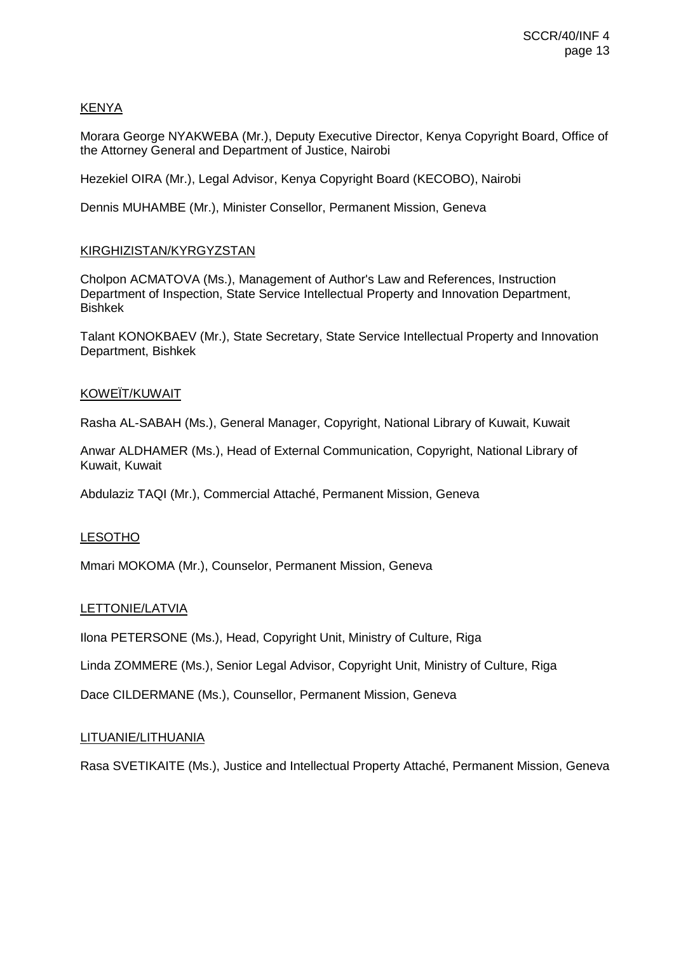# KENYA

Morara George NYAKWEBA (Mr.), Deputy Executive Director, Kenya Copyright Board, Office of the Attorney General and Department of Justice, Nairobi

Hezekiel OIRA (Mr.), Legal Advisor, Kenya Copyright Board (KECOBO), Nairobi

Dennis MUHAMBE (Mr.), Minister Consellor, Permanent Mission, Geneva

## KIRGHIZISTAN/KYRGYZSTAN

Cholpon ACMATOVA (Ms.), Management of Author's Law and References, Instruction Department of Inspection, State Service Intellectual Property and Innovation Department, Bishkek

Talant KONOKBAEV (Mr.), State Secretary, State Service Intellectual Property and Innovation Department, Bishkek

#### KOWEÏT/KUWAIT

Rasha AL-SABAH (Ms.), General Manager, Copyright, National Library of Kuwait, Kuwait

Anwar ALDHAMER (Ms.), Head of External Communication, Copyright, National Library of Kuwait, Kuwait

Abdulaziz TAQI (Mr.), Commercial Attaché, Permanent Mission, Geneva

#### LESOTHO

Mmari MOKOMA (Mr.), Counselor, Permanent Mission, Geneva

#### LETTONIE/LATVIA

Ilona PETERSONE (Ms.), Head, Copyright Unit, Ministry of Culture, Riga

Linda ZOMMERE (Ms.), Senior Legal Advisor, Copyright Unit, Ministry of Culture, Riga

Dace CILDERMANE (Ms.), Counsellor, Permanent Mission, Geneva

#### LITUANIE/LITHUANIA

Rasa SVETIKAITE (Ms.), Justice and Intellectual Property Attaché, Permanent Mission, Geneva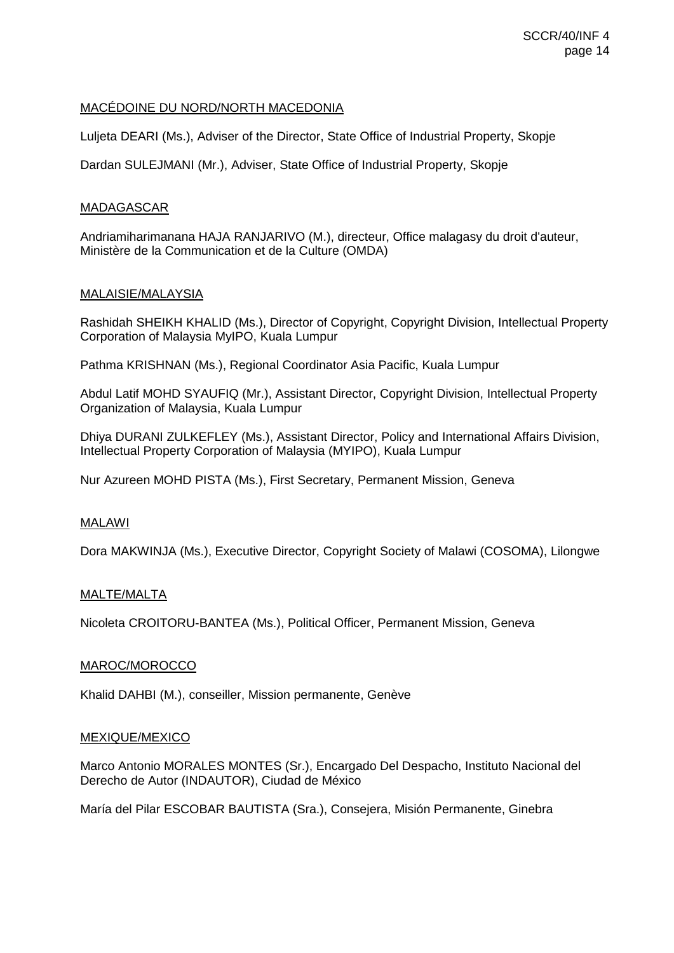## MACÉDOINE DU NORD/NORTH MACEDONIA

Luljeta DEARI (Ms.), Adviser of the Director, State Office of Industrial Property, Skopje

Dardan SULEJMANI (Mr.), Adviser, State Office of Industrial Property, Skopje

## MADAGASCAR

Andriamiharimanana HAJA RANJARIVO (M.), directeur, Office malagasy du droit d'auteur, Ministère de la Communication et de la Culture (OMDA)

## MALAISIE/MALAYSIA

Rashidah SHEIKH KHALID (Ms.), Director of Copyright, Copyright Division, Intellectual Property Corporation of Malaysia MyIPO, Kuala Lumpur

Pathma KRISHNAN (Ms.), Regional Coordinator Asia Pacific, Kuala Lumpur

Abdul Latif MOHD SYAUFIQ (Mr.), Assistant Director, Copyright Division, Intellectual Property Organization of Malaysia, Kuala Lumpur

Dhiya DURANI ZULKEFLEY (Ms.), Assistant Director, Policy and International Affairs Division, Intellectual Property Corporation of Malaysia (MYIPO), Kuala Lumpur

Nur Azureen MOHD PISTA (Ms.), First Secretary, Permanent Mission, Geneva

# MALAWI

Dora MAKWINJA (Ms.), Executive Director, Copyright Society of Malawi (COSOMA), Lilongwe

#### MALTE/MALTA

Nicoleta CROITORU-BANTEA (Ms.), Political Officer, Permanent Mission, Geneva

#### MAROC/MOROCCO

Khalid DAHBI (M.), conseiller, Mission permanente, Genève

#### MEXIQUE/MEXICO

Marco Antonio MORALES MONTES (Sr.), Encargado Del Despacho, Instituto Nacional del Derecho de Autor (INDAUTOR), Ciudad de México

María del Pilar ESCOBAR BAUTISTA (Sra.), Consejera, Misión Permanente, Ginebra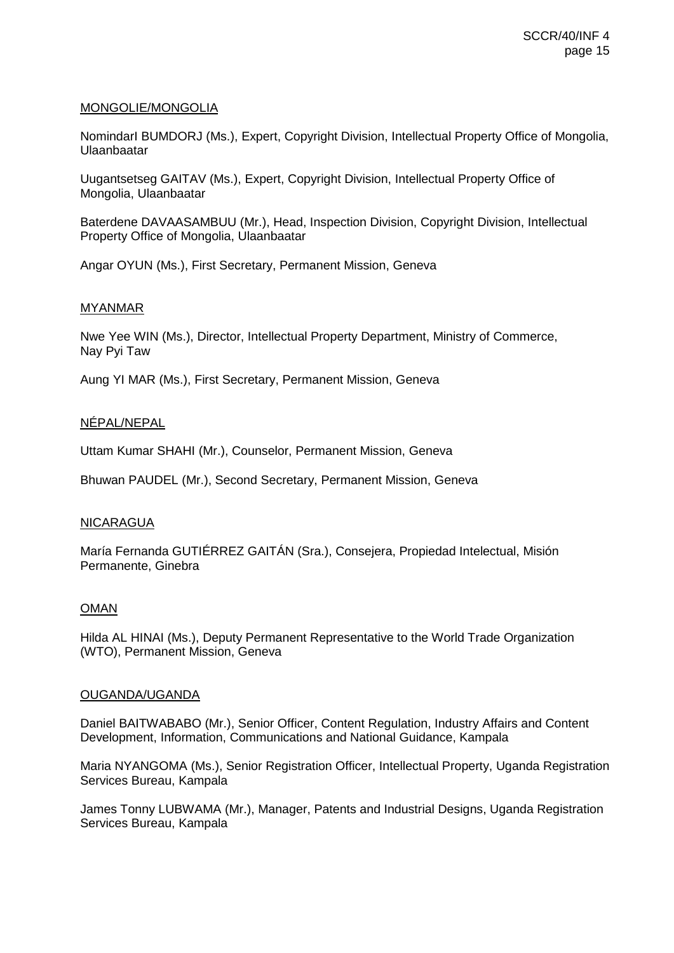## MONGOLIE/MONGOLIA

NomindarI BUMDORJ (Ms.), Expert, Copyright Division, Intellectual Property Office of Mongolia, Ulaanbaatar

Uugantsetseg GAITAV (Ms.), Expert, Copyright Division, Intellectual Property Office of Mongolia, Ulaanbaatar

Baterdene DAVAASAMBUU (Mr.), Head, Inspection Division, Copyright Division, Intellectual Property Office of Mongolia, Ulaanbaatar

Angar OYUN (Ms.), First Secretary, Permanent Mission, Geneva

## MYANMAR

Nwe Yee WIN (Ms.), Director, Intellectual Property Department, Ministry of Commerce, Nay Pyi Taw

Aung YI MAR (Ms.), First Secretary, Permanent Mission, Geneva

# NÉPAL/NEPAL

Uttam Kumar SHAHI (Mr.), Counselor, Permanent Mission, Geneva

Bhuwan PAUDEL (Mr.), Second Secretary, Permanent Mission, Geneva

#### NICARAGUA

María Fernanda GUTIÉRREZ GAITÁN (Sra.), Consejera, Propiedad Intelectual, Misión Permanente, Ginebra

#### OMAN

Hilda AL HINAI (Ms.), Deputy Permanent Representative to the World Trade Organization (WTO), Permanent Mission, Geneva

#### OUGANDA/UGANDA

Daniel BAITWABABO (Mr.), Senior Officer, Content Regulation, Industry Affairs and Content Development, Information, Communications and National Guidance, Kampala

Maria NYANGOMA (Ms.), Senior Registration Officer, Intellectual Property, Uganda Registration Services Bureau, Kampala

James Tonny LUBWAMA (Mr.), Manager, Patents and Industrial Designs, Uganda Registration Services Bureau, Kampala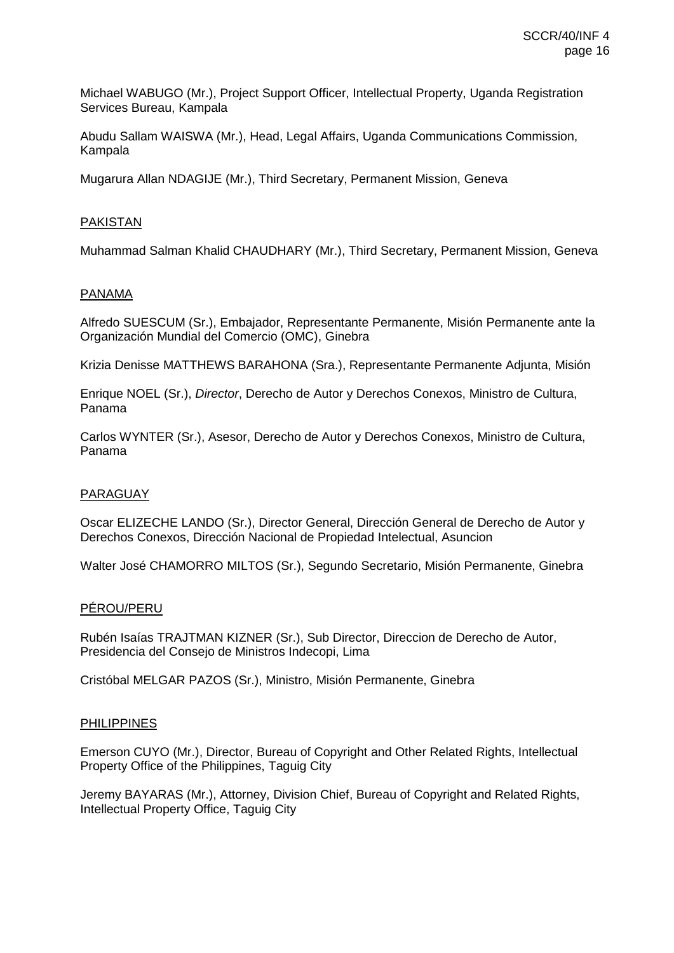Michael WABUGO (Mr.), Project Support Officer, Intellectual Property, Uganda Registration Services Bureau, Kampala

Abudu Sallam WAISWA (Mr.), Head, Legal Affairs, Uganda Communications Commission, Kampala

Mugarura Allan NDAGIJE (Mr.), Third Secretary, Permanent Mission, Geneva

# PAKISTAN

Muhammad Salman Khalid CHAUDHARY (Mr.), Third Secretary, Permanent Mission, Geneva

#### PANAMA

Alfredo SUESCUM (Sr.), Embajador, Representante Permanente, Misión Permanente ante la Organización Mundial del Comercio (OMC), Ginebra

Krizia Denisse MATTHEWS BARAHONA (Sra.), Representante Permanente Adjunta, Misión

Enrique NOEL (Sr.), *Director*, Derecho de Autor y Derechos Conexos, Ministro de Cultura, Panama

Carlos WYNTER (Sr.), Asesor, Derecho de Autor y Derechos Conexos, Ministro de Cultura, Panama

#### PARAGUAY

Oscar ELIZECHE LANDO (Sr.), Director General, Dirección General de Derecho de Autor y Derechos Conexos, Dirección Nacional de Propiedad Intelectual, Asuncion

Walter José CHAMORRO MILTOS (Sr.), Segundo Secretario, Misión Permanente, Ginebra

#### PÉROU/PERU

Rubén Isaías TRAJTMAN KIZNER (Sr.), Sub Director, Direccion de Derecho de Autor, Presidencia del Consejo de Ministros Indecopi, Lima

Cristóbal MELGAR PAZOS (Sr.), Ministro, Misión Permanente, Ginebra

#### PHILIPPINES

Emerson CUYO (Mr.), Director, Bureau of Copyright and Other Related Rights, Intellectual Property Office of the Philippines, Taguig City

Jeremy BAYARAS (Mr.), Attorney, Division Chief, Bureau of Copyright and Related Rights, Intellectual Property Office, Taguig City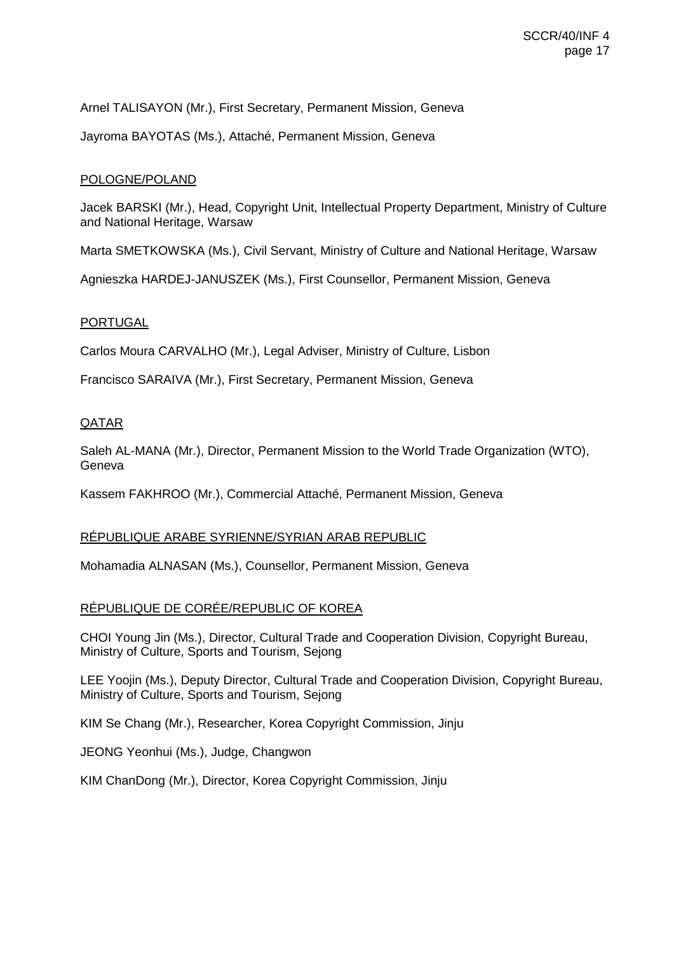Arnel TALISAYON (Mr.), First Secretary, Permanent Mission, Geneva

Jayroma BAYOTAS (Ms.), Attaché, Permanent Mission, Geneva

# POLOGNE/POLAND

Jacek BARSKI (Mr.), Head, Copyright Unit, Intellectual Property Department, Ministry of Culture and National Heritage, Warsaw

Marta SMETKOWSKA (Ms.), Civil Servant, Ministry of Culture and National Heritage, Warsaw

Agnieszka HARDEJ-JANUSZEK (Ms.), First Counsellor, Permanent Mission, Geneva

# PORTUGAL

Carlos Moura CARVALHO (Mr.), Legal Adviser, Ministry of Culture, Lisbon

Francisco SARAIVA (Mr.), First Secretary, Permanent Mission, Geneva

# QATAR

Saleh AL-MANA (Mr.), Director, Permanent Mission to the World Trade Organization (WTO), Geneva

Kassem FAKHROO (Mr.), Commercial Attaché, Permanent Mission, Geneva

# RÉPUBLIQUE ARABE SYRIENNE/SYRIAN ARAB REPUBLIC

Mohamadia ALNASAN (Ms.), Counsellor, Permanent Mission, Geneva

# RÉPUBLIQUE DE CORÉE/REPUBLIC OF KOREA

CHOI Young Jin (Ms.), Director, Cultural Trade and Cooperation Division, Copyright Bureau, Ministry of Culture, Sports and Tourism, Sejong

LEE Yoojin (Ms.), Deputy Director, Cultural Trade and Cooperation Division, Copyright Bureau, Ministry of Culture, Sports and Tourism, Sejong

KIM Se Chang (Mr.), Researcher, Korea Copyright Commission, Jinju

JEONG Yeonhui (Ms.), Judge, Changwon

KIM ChanDong (Mr.), Director, Korea Copyright Commission, Jinju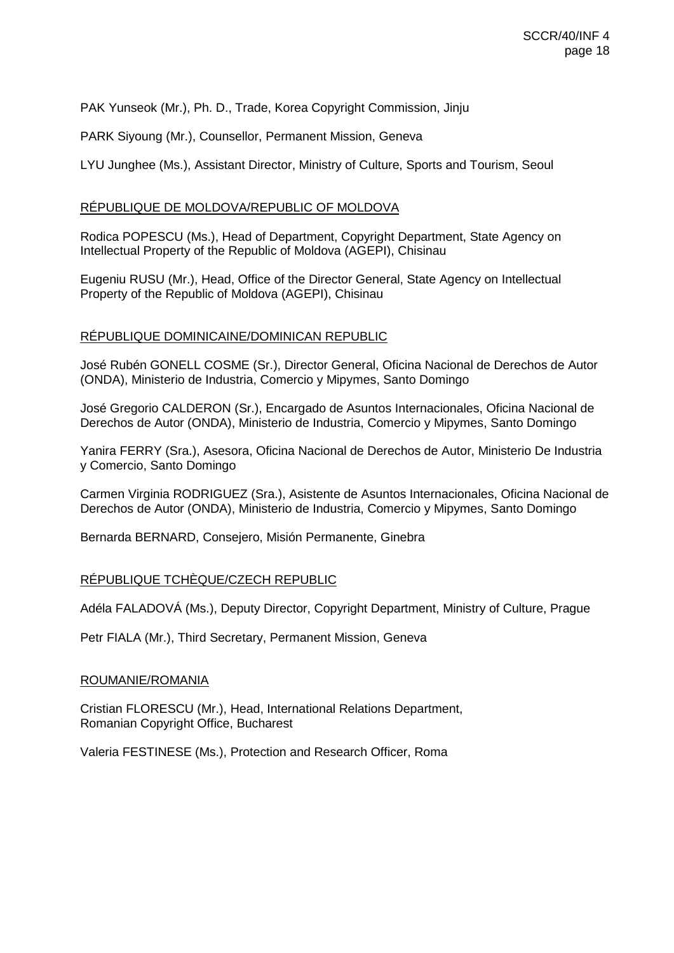PAK Yunseok (Mr.), Ph. D., Trade, Korea Copyright Commission, Jinju

PARK Siyoung (Mr.), Counsellor, Permanent Mission, Geneva

LYU Junghee (Ms.), Assistant Director, Ministry of Culture, Sports and Tourism, Seoul

## RÉPUBLIQUE DE MOLDOVA/REPUBLIC OF MOLDOVA

Rodica POPESCU (Ms.), Head of Department, Copyright Department, State Agency on Intellectual Property of the Republic of Moldova (AGEPI), Chisinau

Eugeniu RUSU (Mr.), Head, Office of the Director General, State Agency on Intellectual Property of the Republic of Moldova (AGEPI), Chisinau

## RÉPUBLIQUE DOMINICAINE/DOMINICAN REPUBLIC

José Rubén GONELL COSME (Sr.), Director General, Oficina Nacional de Derechos de Autor (ONDA), Ministerio de Industria, Comercio y Mipymes, Santo Domingo

José Gregorio CALDERON (Sr.), Encargado de Asuntos Internacionales, Oficina Nacional de Derechos de Autor (ONDA), Ministerio de Industria, Comercio y Mipymes, Santo Domingo

Yanira FERRY (Sra.), Asesora, Oficina Nacional de Derechos de Autor, Ministerio De Industria y Comercio, Santo Domingo

Carmen Virginia RODRIGUEZ (Sra.), Asistente de Asuntos Internacionales, Oficina Nacional de Derechos de Autor (ONDA), Ministerio de Industria, Comercio y Mipymes, Santo Domingo

Bernarda BERNARD, Consejero, Misión Permanente, Ginebra

#### RÉPUBLIQUE TCHÈQUE/CZECH REPUBLIC

Adéla FALADOVÁ (Ms.), Deputy Director, Copyright Department, Ministry of Culture, Prague

Petr FIALA (Mr.), Third Secretary, Permanent Mission, Geneva

#### ROUMANIE/ROMANIA

Cristian FLORESCU (Mr.), Head, International Relations Department, Romanian Copyright Office, Bucharest

Valeria FESTINESE (Ms.), Protection and Research Officer, Roma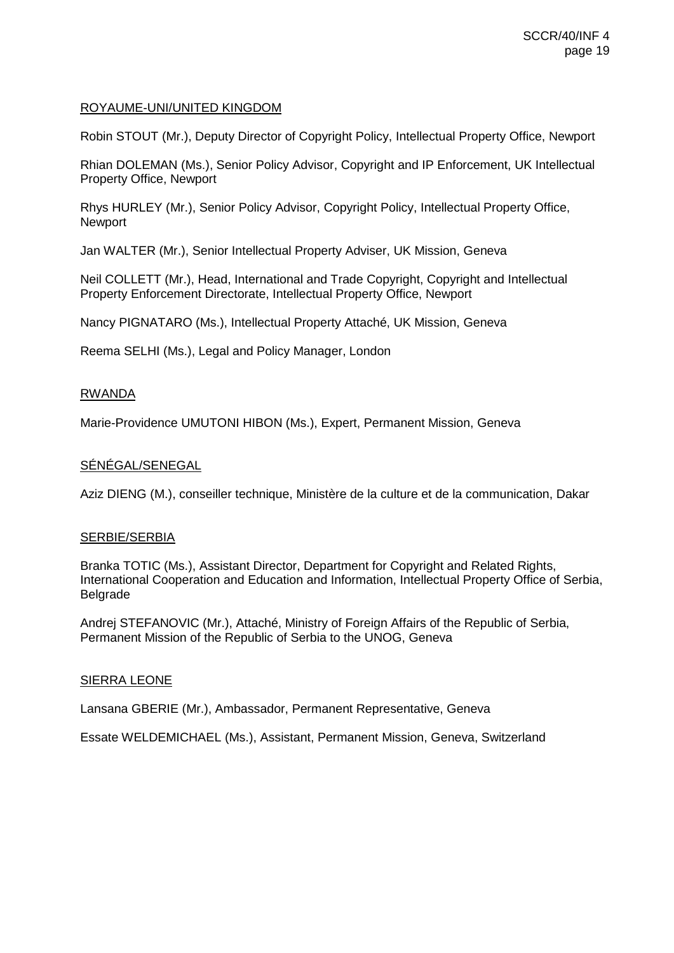# ROYAUME-UNI/UNITED KINGDOM

Robin STOUT (Mr.), Deputy Director of Copyright Policy, Intellectual Property Office, Newport

Rhian DOLEMAN (Ms.), Senior Policy Advisor, Copyright and IP Enforcement, UK Intellectual Property Office, Newport

Rhys HURLEY (Mr.), Senior Policy Advisor, Copyright Policy, Intellectual Property Office, Newport

Jan WALTER (Mr.), Senior Intellectual Property Adviser, UK Mission, Geneva

Neil COLLETT (Mr.), Head, International and Trade Copyright, Copyright and Intellectual Property Enforcement Directorate, Intellectual Property Office, Newport

Nancy PIGNATARO (Ms.), Intellectual Property Attaché, UK Mission, Geneva

Reema SELHI (Ms.), Legal and Policy Manager, London

## RWANDA

Marie-Providence UMUTONI HIBON (Ms.), Expert, Permanent Mission, Geneva

# SÉNÉGAL/SENEGAL

Aziz DIENG (M.), conseiller technique, Ministère de la culture et de la communication, Dakar

#### SERBIE/SERBIA

Branka TOTIC (Ms.), Assistant Director, Department for Copyright and Related Rights, International Cooperation and Education and Information, Intellectual Property Office of Serbia, Belgrade

Andrej STEFANOVIC (Mr.), Attaché, Ministry of Foreign Affairs of the Republic of Serbia, Permanent Mission of the Republic of Serbia to the UNOG, Geneva

#### SIERRA LEONE

Lansana GBERIE (Mr.), Ambassador, Permanent Representative, Geneva

Essate WELDEMICHAEL (Ms.), Assistant, Permanent Mission, Geneva, Switzerland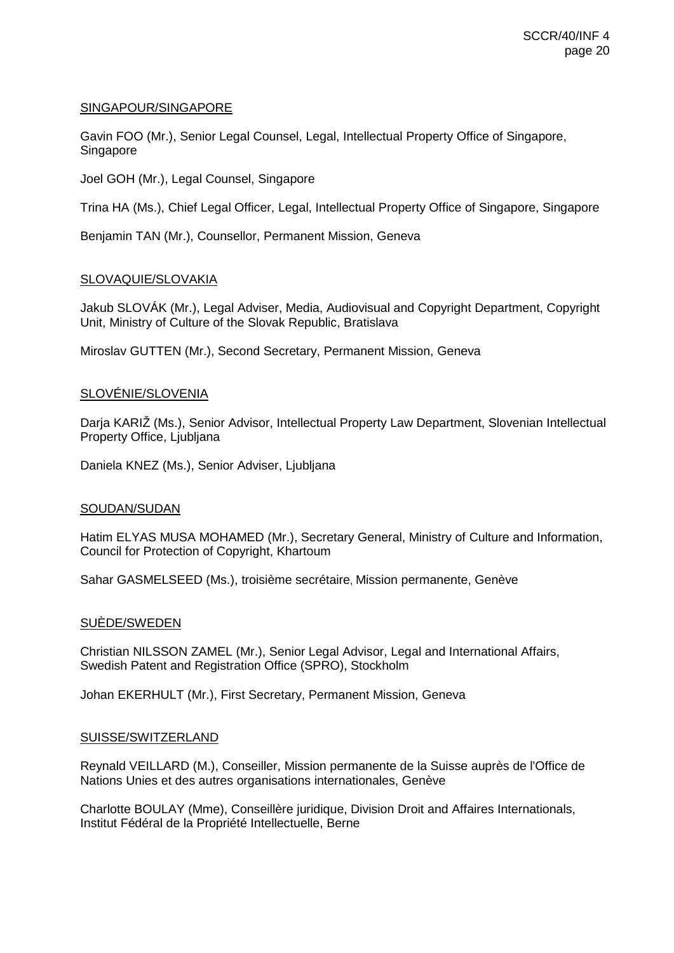## SINGAPOUR/SINGAPORE

Gavin FOO (Mr.), Senior Legal Counsel, Legal, Intellectual Property Office of Singapore, Singapore

Joel GOH (Mr.), Legal Counsel, Singapore

Trina HA (Ms.), Chief Legal Officer, Legal, Intellectual Property Office of Singapore, Singapore

Benjamin TAN (Mr.), Counsellor, Permanent Mission, Geneva

## SLOVAQUIE/SLOVAKIA

Jakub SLOVÁK (Mr.), Legal Adviser, Media, Audiovisual and Copyright Department, Copyright Unit, Ministry of Culture of the Slovak Republic, Bratislava

Miroslav GUTTEN (Mr.), Second Secretary, Permanent Mission, Geneva

# SLOVÉNIE/SLOVENIA

Darja KARIŽ (Ms.), Senior Advisor, Intellectual Property Law Department, Slovenian Intellectual Property Office, Ljubljana

Daniela KNEZ (Ms.), Senior Adviser, Ljubljana

#### SOUDAN/SUDAN

Hatim ELYAS MUSA MOHAMED (Mr.), Secretary General, Ministry of Culture and Information, Council for Protection of Copyright, Khartoum

Sahar GASMELSEED (Ms.), troisième secrétaire, Mission permanente, Genève

#### SUÈDE/SWEDEN

Christian NILSSON ZAMEL (Mr.), Senior Legal Advisor, Legal and International Affairs, Swedish Patent and Registration Office (SPRO), Stockholm

Johan EKERHULT (Mr.), First Secretary, Permanent Mission, Geneva

#### SUISSE/SWITZERLAND

Reynald VEILLARD (M.), Conseiller, Mission permanente de la Suisse auprès de l'Office de Nations Unies et des autres organisations internationales, Genève

Charlotte BOULAY (Mme), Conseillère juridique, Division Droit and Affaires Internationals, Institut Fédéral de la Propriété Intellectuelle, Berne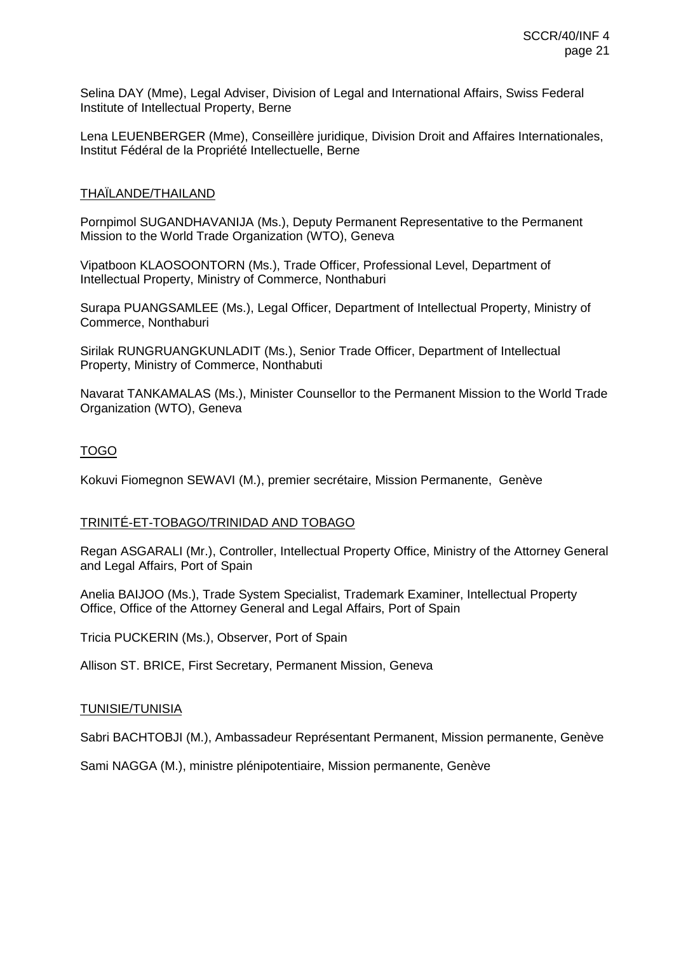Selina DAY (Mme), Legal Adviser, Division of Legal and International Affairs, Swiss Federal Institute of Intellectual Property, Berne

Lena LEUENBERGER (Mme), Conseillère juridique, Division Droit and Affaires Internationales, Institut Fédéral de la Propriété Intellectuelle, Berne

# THAÏLANDE/THAILAND

Pornpimol SUGANDHAVANIJA (Ms.), Deputy Permanent Representative to the Permanent Mission to the World Trade Organization (WTO), Geneva

Vipatboon KLAOSOONTORN (Ms.), Trade Officer, Professional Level, Department of Intellectual Property, Ministry of Commerce, Nonthaburi

Surapa PUANGSAMLEE (Ms.), Legal Officer, Department of Intellectual Property, Ministry of Commerce, Nonthaburi

Sirilak RUNGRUANGKUNLADIT (Ms.), Senior Trade Officer, Department of Intellectual Property, Ministry of Commerce, Nonthabuti

Navarat TANKAMALAS (Ms.), Minister Counsellor to the Permanent Mission to the World Trade Organization (WTO), Geneva

# TOGO

Kokuvi Fiomegnon SEWAVI (M.), premier secrétaire, Mission Permanente, Genève

# TRINITÉ-ET-TOBAGO/TRINIDAD AND TOBAGO

Regan ASGARALI (Mr.), Controller, Intellectual Property Office, Ministry of the Attorney General and Legal Affairs, Port of Spain

Anelia BAIJOO (Ms.), Trade System Specialist, Trademark Examiner, Intellectual Property Office, Office of the Attorney General and Legal Affairs, Port of Spain

Tricia PUCKERIN (Ms.), Observer, Port of Spain

Allison ST. BRICE, First Secretary, Permanent Mission, Geneva

#### TUNISIE/TUNISIA

Sabri BACHTOBJI (M.), Ambassadeur Représentant Permanent, Mission permanente, Genève

Sami NAGGA (M.), ministre plénipotentiaire, Mission permanente, Genève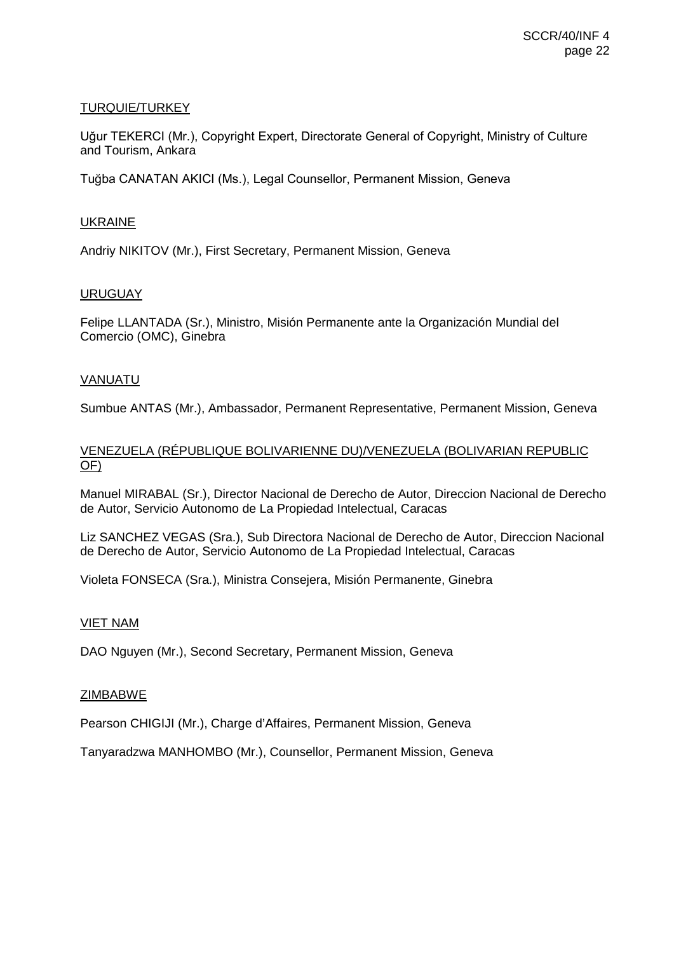# TURQUIE/TURKEY

Uğur TEKERCI (Mr.), Copyright Expert, Directorate General of Copyright, Ministry of Culture and Tourism, Ankara

Tuğba CANATAN AKICI (Ms.), Legal Counsellor, Permanent Mission, Geneva

## UKRAINE

Andriy NIKITOV (Mr.), First Secretary, Permanent Mission, Geneva

## **URUGUAY**

Felipe LLANTADA (Sr.), Ministro, Misión Permanente ante la Organización Mundial del Comercio (OMC), Ginebra

## VANUATU

Sumbue ANTAS (Mr.), Ambassador, Permanent Representative, Permanent Mission, Geneva

# VENEZUELA (RÉPUBLIQUE BOLIVARIENNE DU)/VENEZUELA (BOLIVARIAN REPUBLIC OF)

Manuel MIRABAL (Sr.), Director Nacional de Derecho de Autor, Direccion Nacional de Derecho de Autor, Servicio Autonomo de La Propiedad Intelectual, Caracas

Liz SANCHEZ VEGAS (Sra.), Sub Directora Nacional de Derecho de Autor, Direccion Nacional de Derecho de Autor, Servicio Autonomo de La Propiedad Intelectual, Caracas

Violeta FONSECA (Sra.), Ministra Consejera, Misión Permanente, Ginebra

#### VIET NAM

DAO Nguyen (Mr.), Second Secretary, Permanent Mission, Geneva

#### ZIMBABWE

Pearson CHIGIJI (Mr.), Charge d'Affaires, Permanent Mission, Geneva

Tanyaradzwa MANHOMBO (Mr.), Counsellor, Permanent Mission, Geneva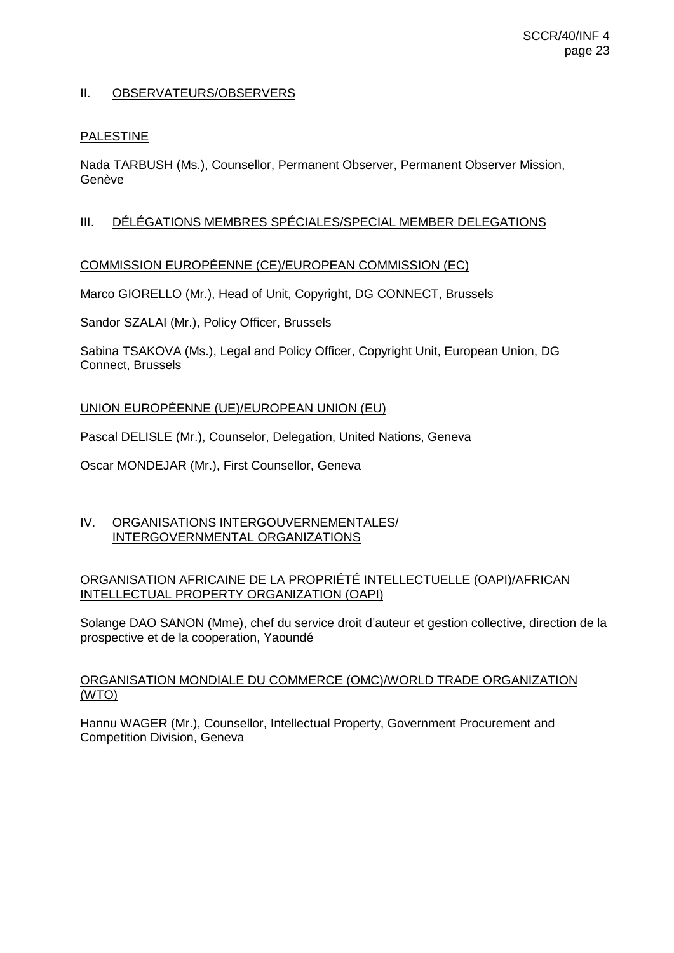# II. OBSERVATEURS/OBSERVERS

### PALESTINE

Nada TARBUSH (Ms.), Counsellor, Permanent Observer, Permanent Observer Mission, Genève

# III. DÉLÉGATIONS MEMBRES SPÉCIALES/SPECIAL MEMBER DELEGATIONS

## COMMISSION EUROPÉENNE (CE)/EUROPEAN COMMISSION (EC)

Marco GIORELLO (Mr.), Head of Unit, Copyright, DG CONNECT, Brussels

Sandor SZALAI (Mr.), Policy Officer, Brussels

Sabina TSAKOVA (Ms.), Legal and Policy Officer, Copyright Unit, European Union, DG Connect, Brussels

## UNION EUROPÉENNE (UE)/EUROPEAN UNION (EU)

Pascal DELISLE (Mr.), Counselor, Delegation, United Nations, Geneva

Oscar MONDEJAR (Mr.), First Counsellor, Geneva

## IV. ORGANISATIONS INTERGOUVERNEMENTALES/ INTERGOVERNMENTAL ORGANIZATIONS

## ORGANISATION AFRICAINE DE LA PROPRIÉTÉ INTELLECTUELLE (OAPI)/AFRICAN INTELLECTUAL PROPERTY ORGANIZATION (OAPI)

Solange DAO SANON (Mme), chef du service droit d'auteur et gestion collective, direction de la prospective et de la cooperation, Yaoundé

## ORGANISATION MONDIALE DU COMMERCE (OMC)/WORLD TRADE ORGANIZATION (WTO)

Hannu WAGER (Mr.), Counsellor, Intellectual Property, Government Procurement and Competition Division, Geneva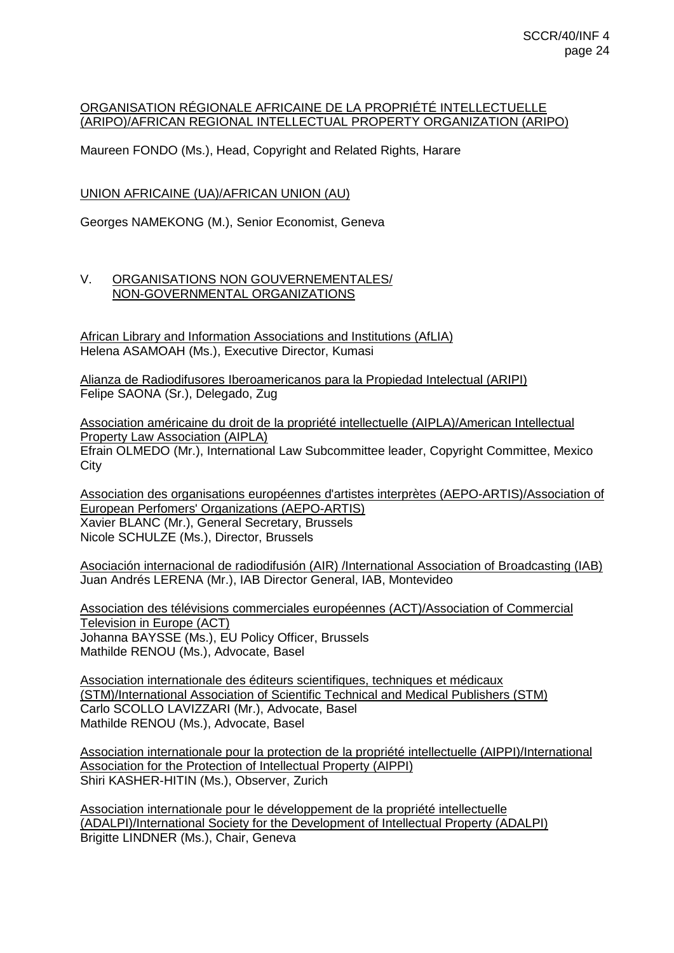# ORGANISATION RÉGIONALE AFRICAINE DE LA PROPRIÉTÉ INTELLECTUELLE (ARIPO)/AFRICAN REGIONAL INTELLECTUAL PROPERTY ORGANIZATION (ARIPO)

Maureen FONDO (Ms.), Head, Copyright and Related Rights, Harare

UNION AFRICAINE (UA)/AFRICAN UNION (AU)

Georges NAMEKONG (M.), Senior Economist, Geneva

# V. ORGANISATIONS NON GOUVERNEMENTALES/ NON-GOVERNMENTAL ORGANIZATIONS

African Library and Information Associations and Institutions (AfLIA) Helena ASAMOAH (Ms.), Executive Director, Kumasi

Alianza de Radiodifusores Iberoamericanos para la Propiedad Intelectual (ARIPI) Felipe SAONA (Sr.), Delegado, Zug

Association américaine du droit de la propriété intellectuelle (AIPLA)/American Intellectual Property Law Association (AIPLA) Efrain OLMEDO (Mr.), International Law Subcommittee leader, Copyright Committee, Mexico **City** 

Association des organisations européennes d'artistes interprètes (AEPO-ARTIS)/Association of European Perfomers' Organizations (AEPO-ARTIS) Xavier BLANC (Mr.), General Secretary, Brussels Nicole SCHULZE (Ms.), Director, Brussels

Asociación internacional de radiodifusión (AIR) /International Association of Broadcasting (IAB) Juan Andrés LERENA (Mr.), IAB Director General, IAB, Montevideo

Association des télévisions commerciales européennes (ACT)/Association of Commercial Television in Europe (ACT) Johanna BAYSSE (Ms.), EU Policy Officer, Brussels Mathilde RENOU (Ms.), Advocate, Basel

Association internationale des éditeurs scientifiques, techniques et médicaux (STM)/International Association of Scientific Technical and Medical Publishers (STM) Carlo SCOLLO LAVIZZARI (Mr.), Advocate, Basel Mathilde RENOU (Ms.), Advocate, Basel

Association internationale pour la protection de la propriété intellectuelle (AIPPI)/International Association for the Protection of Intellectual Property (AIPPI) Shiri KASHER-HITIN (Ms.), Observer, Zurich

Association internationale pour le développement de la propriété intellectuelle (ADALPI)/International Society for the Development of Intellectual Property (ADALPI) Brigitte LINDNER (Ms.), Chair, Geneva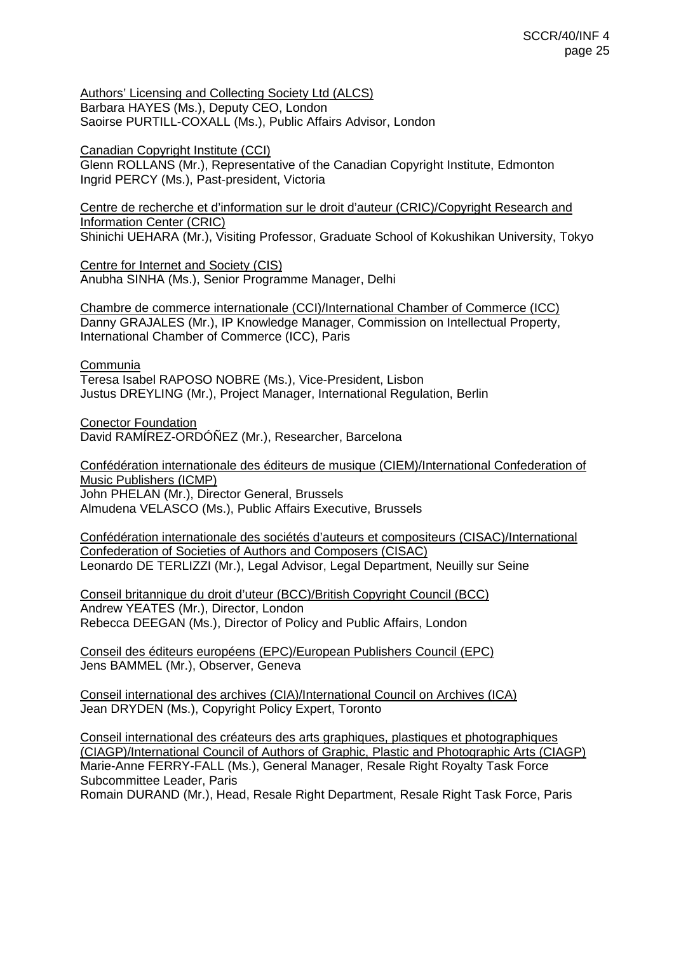Authors' Licensing and Collecting Society Ltd (ALCS) Barbara HAYES (Ms.), Deputy CEO, London Saoirse PURTILL-COXALL (Ms.), Public Affairs Advisor, London

Canadian Copyright Institute (CCI)

Glenn ROLLANS (Mr.), Representative of the Canadian Copyright Institute, Edmonton Ingrid PERCY (Ms.), Past-president, Victoria

Centre de recherche et d'information sur le droit d'auteur (CRIC)/Copyright Research and Information Center (CRIC) Shinichi UEHARA (Mr.), Visiting Professor, Graduate School of Kokushikan University, Tokyo

Centre for Internet and Society (CIS) Anubha SINHA (Ms.), Senior Programme Manager, Delhi

Chambre de commerce internationale (CCI)/International Chamber of Commerce (ICC) Danny GRAJALES (Mr.), IP Knowledge Manager, Commission on Intellectual Property, International Chamber of Commerce (ICC), Paris

Communia Teresa Isabel RAPOSO NOBRE (Ms.), Vice-President, Lisbon Justus DREYLING (Mr.), Project Manager, International Regulation, Berlin

Conector Foundation David RAMÍREZ-ORDÓÑEZ (Mr.), Researcher, Barcelona

Confédération internationale des éditeurs de musique (CIEM)/International Confederation of Music Publishers (ICMP) John PHELAN (Mr.), Director General, Brussels Almudena VELASCO (Ms.), Public Affairs Executive, Brussels

Confédération internationale des sociétés d'auteurs et compositeurs (CISAC)/International Confederation of Societies of Authors and Composers (CISAC) Leonardo DE TERLIZZI (Mr.), Legal Advisor, Legal Department, Neuilly sur Seine

Conseil britannique du droit d'uteur (BCC)/British Copyright Council (BCC) Andrew YEATES (Mr.), Director, London Rebecca DEEGAN (Ms.), Director of Policy and Public Affairs, London

Conseil des éditeurs européens (EPC)/European Publishers Council (EPC) Jens BAMMEL (Mr.), Observer, Geneva

Conseil international des archives (CIA)/International Council on Archives (ICA) Jean DRYDEN (Ms.), Copyright Policy Expert, Toronto

Conseil international des créateurs des arts graphiques, plastiques et photographiques (CIAGP)/International Council of Authors of Graphic, Plastic and Photographic Arts (CIAGP) Marie-Anne FERRY-FALL (Ms.), General Manager, Resale Right Royalty Task Force Subcommittee Leader, Paris

Romain DURAND (Mr.), Head, Resale Right Department, Resale Right Task Force, Paris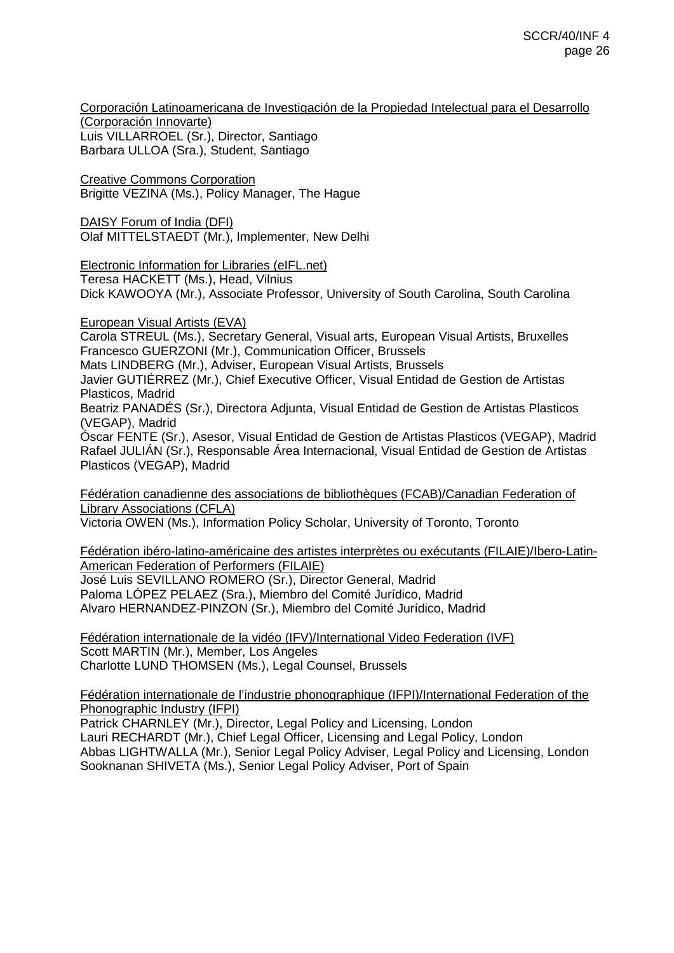Corporación Latinoamericana de Investigación de la Propiedad Intelectual para el Desarrollo (Corporación Innovarte) Luis VILLARROEL (Sr.), Director, Santiago

Barbara ULLOA (Sra.), Student, Santiago

Creative Commons Corporation Brigitte VEZINA (Ms.), Policy Manager, The Hague

DAISY Forum of India (DFI) Olaf MITTELSTAEDT (Mr.), Implementer, New Delhi

Electronic Information for Libraries (eIFL.net)

Teresa HACKETT (Ms.), Head, Vilnius

Dick KAWOOYA (Mr.), Associate Professor, University of South Carolina, South Carolina

European Visual Artists (EVA)

Carola STREUL (Ms.), Secretary General, Visual arts, European Visual Artists, Bruxelles Francesco GUERZONI (Mr.), Communication Officer, Brussels Mats LINDBERG (Mr.), Adviser, European Visual Artists, Brussels Javier GUTIÉRREZ (Mr.), Chief Executive Officer, Visual Entidad de Gestion de Artistas Plasticos, Madrid

Beatriz PANADÉS (Sr.), Directora Adjunta, Visual Entidad de Gestion de Artistas Plasticos (VEGAP), Madrid

Óscar FENTE (Sr.), Asesor, Visual Entidad de Gestion de Artistas Plasticos (VEGAP), Madrid Rafael JULIÁN (Sr.), Responsable Área Internacional, Visual Entidad de Gestion de Artistas Plasticos (VEGAP), Madrid

Fédération canadienne des associations de bibliothèques (FCAB)/Canadian Federation of Library Associations (CFLA)

Victoria OWEN (Ms.), Information Policy Scholar, University of Toronto, Toronto

Fédération ibéro-latino-américaine des artistes interprètes ou exécutants (FILAIE)/Ibero-Latin-American Federation of Performers (FILAIE) José Luis SEVILLANO ROMERO (Sr.), Director General, Madrid Paloma LÓPEZ PELAEZ (Sra.), Miembro del Comité Jurídico, Madrid

Alvaro HERNANDEZ-PINZON (Sr.), Miembro del Comité Jurídico, Madrid

Fédération internationale de la vidéo (IFV)/International Video Federation (IVF) Scott MARTIN (Mr.), Member, Los Angeles Charlotte LUND THOMSEN (Ms.), Legal Counsel, Brussels

Fédération internationale de l'industrie phonographique (IFPI)/International Federation of the Phonographic Industry (IFPI)

Patrick CHARNLEY (Mr.), Director, Legal Policy and Licensing, London Lauri RECHARDT (Mr.), Chief Legal Officer, Licensing and Legal Policy, London Abbas LIGHTWALLA (Mr.), Senior Legal Policy Adviser, Legal Policy and Licensing, London Sooknanan SHIVETA (Ms.), Senior Legal Policy Adviser, Port of Spain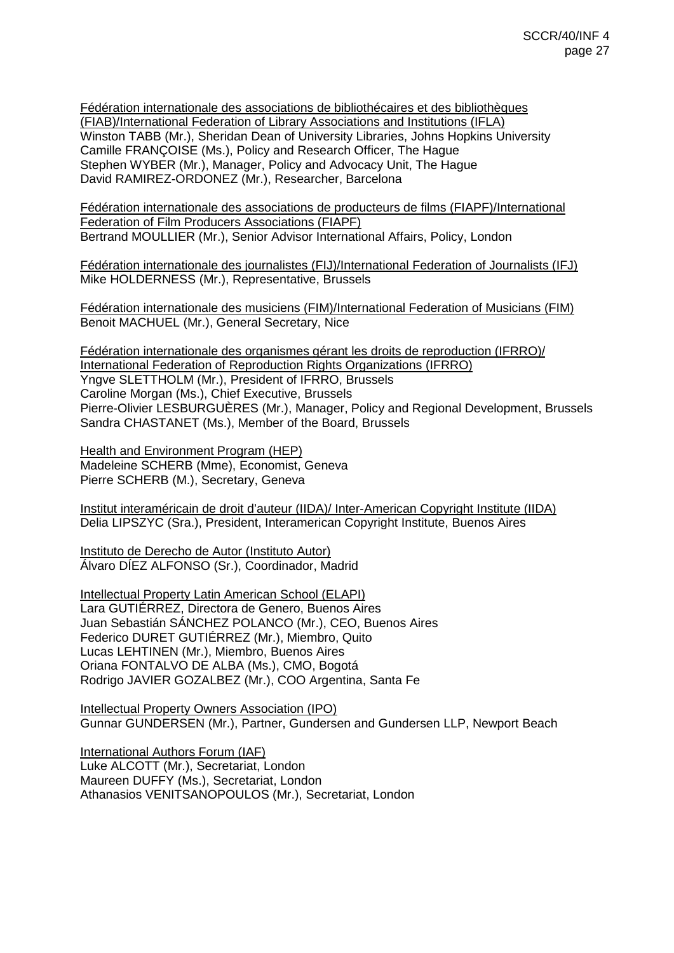Fédération internationale des associations de bibliothécaires et des bibliothèques (FIAB)/International Federation of Library Associations and Institutions (IFLA) Winston TABB (Mr.), Sheridan Dean of University Libraries, Johns Hopkins University Camille FRANÇOISE (Ms.), Policy and Research Officer, The Hague Stephen WYBER (Mr.), Manager, Policy and Advocacy Unit, The Hague David RAMIREZ-ORDONEZ (Mr.), Researcher, Barcelona

Fédération internationale des associations de producteurs de films (FIAPF)/International Federation of Film Producers Associations (FIAPF) Bertrand MOULLIER (Mr.), Senior Advisor International Affairs, Policy, London

Fédération internationale des journalistes (FIJ)/International Federation of Journalists (IFJ) Mike HOLDERNESS (Mr.), Representative, Brussels

Fédération internationale des musiciens (FIM)/International Federation of Musicians (FIM) Benoit MACHUEL (Mr.), General Secretary, Nice

Fédération internationale des organismes gérant les droits de reproduction (IFRRO)/ International Federation of Reproduction Rights Organizations (IFRRO) Yngve SLETTHOLM (Mr.), President of IFRRO, Brussels Caroline Morgan (Ms.), Chief Executive, Brussels Pierre-Olivier LESBURGUÈRES (Mr.), Manager, Policy and Regional Development, Brussels Sandra CHASTANET (Ms.), Member of the Board, Brussels

Health and Environment Program (HEP) Madeleine SCHERB (Mme), Economist, Geneva Pierre SCHERB (M.), Secretary, Geneva

Institut interaméricain de droit d'auteur (IIDA)/ Inter-American Copyright Institute (IIDA) Delia LIPSZYC (Sra.), President, Interamerican Copyright Institute, Buenos Aires

Instituto de Derecho de Autor (Instituto Autor) Álvaro DÍEZ ALFONSO (Sr.), Coordinador, Madrid

Intellectual Property Latin American School (ELAPI) Lara GUTIÉRREZ, Directora de Genero, Buenos Aires Juan Sebastián SÁNCHEZ POLANCO (Mr.), CEO, Buenos Aires Federico DURET GUTIÉRREZ (Mr.), Miembro, Quito Lucas LEHTINEN (Mr.), Miembro, Buenos Aires Oriana FONTALVO DE ALBA (Ms.), CMO, Bogotá Rodrigo JAVIER GOZALBEZ (Mr.), COO Argentina, Santa Fe

Intellectual Property Owners Association (IPO) Gunnar GUNDERSEN (Mr.), Partner, Gundersen and Gundersen LLP, Newport Beach

International Authors Forum (IAF) Luke ALCOTT (Mr.), Secretariat, London Maureen DUFFY (Ms.), Secretariat, London Athanasios VENITSANOPOULOS (Mr.), Secretariat, London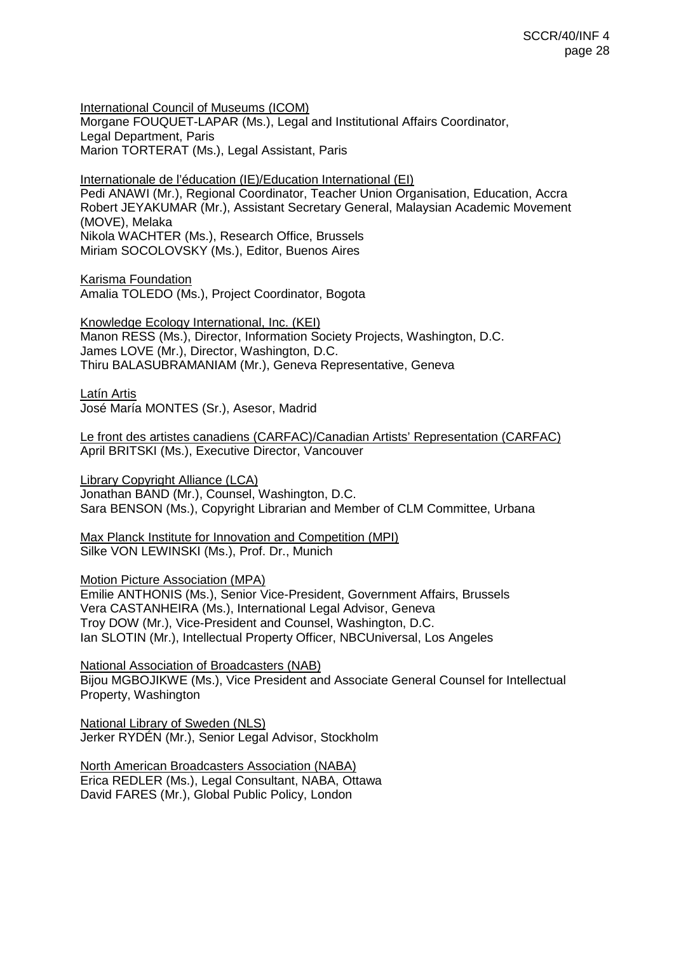International Council of Museums (ICOM) Morgane FOUQUET-LAPAR (Ms.), Legal and Institutional Affairs Coordinator, Legal Department, Paris Marion TORTERAT (Ms.), Legal Assistant, Paris

Internationale de l'éducation (IE)/Education International (EI)

Pedi ANAWI (Mr.), Regional Coordinator, Teacher Union Organisation, Education, Accra Robert JEYAKUMAR (Mr.), Assistant Secretary General, Malaysian Academic Movement (MOVE), Melaka Nikola WACHTER (Ms.), Research Office, Brussels Miriam SOCOLOVSKY (Ms.), Editor, Buenos Aires

Karisma Foundation Amalia TOLEDO (Ms.), Project Coordinator, Bogota

Knowledge Ecology International, Inc. (KEI) Manon RESS (Ms.), Director, Information Society Projects, Washington, D.C. James LOVE (Mr.), Director, Washington, D.C. Thiru BALASUBRAMANIAM (Mr.), Geneva Representative, Geneva

Latín Artis José María MONTES (Sr.), Asesor, Madrid

Le front des artistes canadiens (CARFAC)/Canadian Artists' Representation (CARFAC) April BRITSKI (Ms.), Executive Director, Vancouver

Library Copyright Alliance (LCA) Jonathan BAND (Mr.), Counsel, Washington, D.C. Sara BENSON (Ms.), Copyright Librarian and Member of CLM Committee, Urbana

Max Planck Institute for Innovation and Competition (MPI) Silke VON LEWINSKI (Ms.), Prof. Dr., Munich

Motion Picture Association (MPA)

Emilie ANTHONIS (Ms.), Senior Vice-President, Government Affairs, Brussels Vera CASTANHEIRA (Ms.), International Legal Advisor, Geneva Troy DOW (Mr.), Vice-President and Counsel, Washington, D.C. Ian SLOTIN (Mr.), Intellectual Property Officer, NBCUniversal, Los Angeles

National Association of Broadcasters (NAB) Bijou MGBOJIKWE (Ms.), Vice President and Associate General Counsel for Intellectual Property, Washington

National Library of Sweden (NLS) Jerker RYDÉN (Mr.), Senior Legal Advisor, Stockholm

North American Broadcasters Association (NABA) Erica REDLER (Ms.), Legal Consultant, NABA, Ottawa David FARES (Mr.), Global Public Policy, London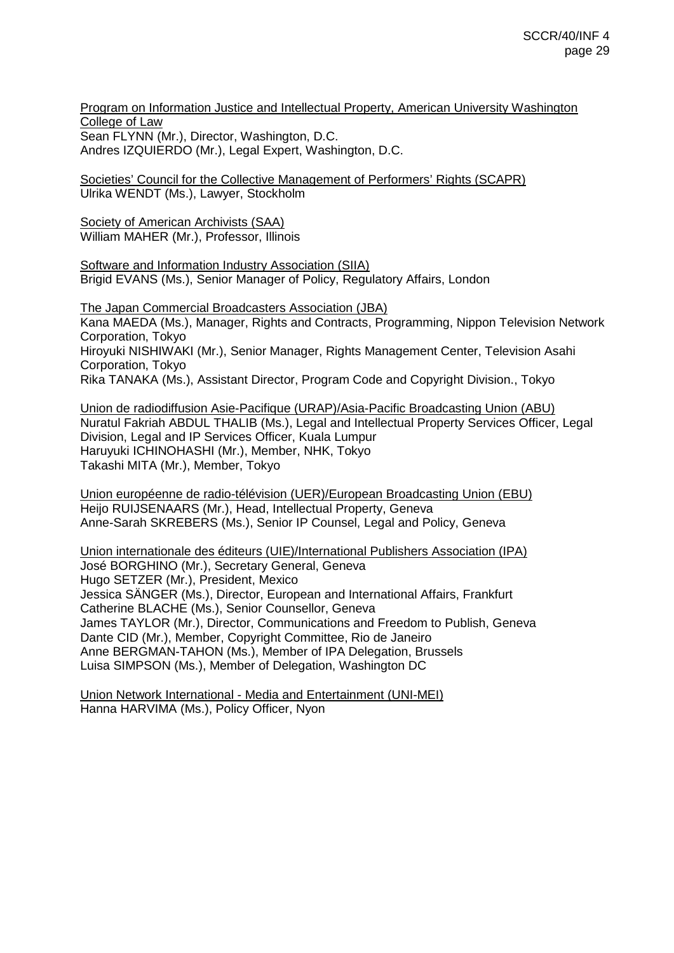Program on Information Justice and Intellectual Property, American University Washington College of Law Sean FLYNN (Mr.), Director, Washington, D.C. Andres IZQUIERDO (Mr.), Legal Expert, Washington, D.C.

Societies' Council for the Collective Management of Performers' Rights (SCAPR) Ulrika WENDT (Ms.), Lawyer, Stockholm

Society of American Archivists (SAA) William MAHER (Mr.), Professor, Illinois

Software and Information Industry Association (SIIA) Brigid EVANS (Ms.), Senior Manager of Policy, Regulatory Affairs, London

The Japan Commercial Broadcasters Association (JBA) Kana MAEDA (Ms.), Manager, Rights and Contracts, Programming, Nippon Television Network Corporation, Tokyo Hiroyuki NISHIWAKI (Mr.), Senior Manager, Rights Management Center, Television Asahi Corporation, Tokyo Rika TANAKA (Ms.), Assistant Director, Program Code and Copyright Division., Tokyo

Union de radiodiffusion Asie-Pacifique (URAP)/Asia-Pacific Broadcasting Union (ABU) Nuratul Fakriah ABDUL THALIB (Ms.), Legal and Intellectual Property Services Officer, Legal Division, Legal and IP Services Officer, Kuala Lumpur Haruyuki ICHINOHASHI (Mr.), Member, NHK, Tokyo Takashi MITA (Mr.), Member, Tokyo

Union européenne de radio-télévision (UER)/European Broadcasting Union (EBU) Heijo RUIJSENAARS (Mr.), Head, Intellectual Property, Geneva Anne-Sarah SKREBERS (Ms.), Senior IP Counsel, Legal and Policy, Geneva

Union internationale des éditeurs (UIE)/International Publishers Association (IPA) José BORGHINO (Mr.), Secretary General, Geneva Hugo SETZER (Mr.), President, Mexico Jessica SÄNGER (Ms.), Director, European and International Affairs, Frankfurt Catherine BLACHE (Ms.), Senior Counsellor, Geneva James TAYLOR (Mr.), Director, Communications and Freedom to Publish, Geneva Dante CID (Mr.), Member, Copyright Committee, Rio de Janeiro Anne BERGMAN-TAHON (Ms.), Member of IPA Delegation, Brussels Luisa SIMPSON (Ms.), Member of Delegation, Washington DC

Union Network International - Media and Entertainment (UNI-MEI) Hanna HARVIMA (Ms.), Policy Officer, Nyon